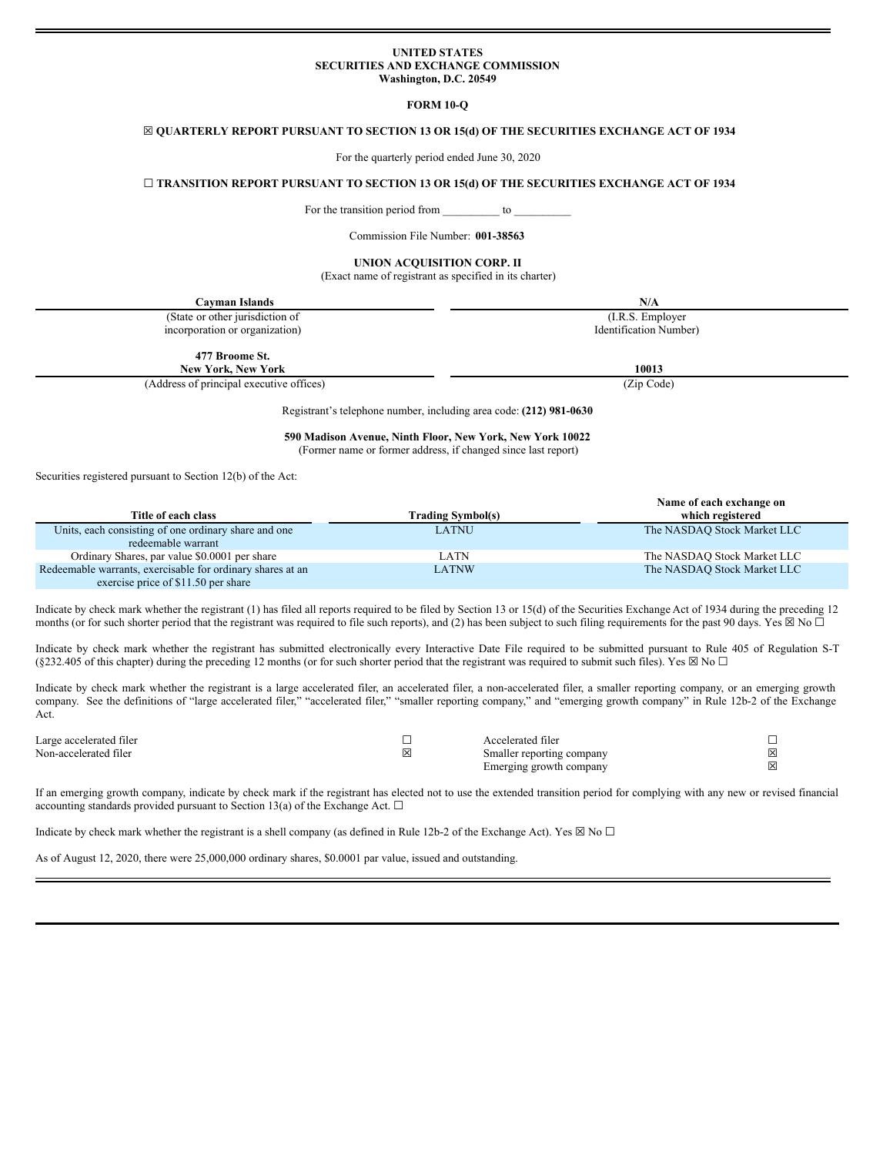### **UNITED STATES SECURITIES AND EXCHANGE COMMISSION Washington, D.C. 20549**

**FORM 10-Q**

## ☒ **QUARTERLY REPORT PURSUANT TO SECTION 13 OR 15(d) OF THE SECURITIES EXCHANGE ACT OF 1934**

For the quarterly period ended June 30, 2020

## ☐ **TRANSITION REPORT PURSUANT TO SECTION 13 OR 15(d) OF THE SECURITIES EXCHANGE ACT OF 1934**

For the transition period from \_\_\_\_\_\_\_\_\_\_\_ to \_

Commission File Number: **001-38563**

#### **UNION ACQUISITION CORP. II**

(Exact name of registrant as specified in its charter)

| Cayman Islands                           | N/A                    |
|------------------------------------------|------------------------|
| (State or other jurisdiction of          | (I.R.S. Employer)      |
| incorporation or organization)           | Identification Number) |
|                                          |                        |
| 477 Broome St.                           |                        |
| <b>New York, New York</b>                | 10013                  |
| (Address of principal executive offices) | (Zip Code)             |

Registrant's telephone number, including area code: **(212) 981-0630**

**590 Madison Avenue, Ninth Floor, New York, New York 10022** (Former name or former address, if changed since last report)

Securities registered pursuant to Section 12(b) of the Act:

|                                                            |                   | Name of each exchange on    |
|------------------------------------------------------------|-------------------|-----------------------------|
| Title of each class                                        | Trading Symbol(s) | which registered            |
| Units, each consisting of one ordinary share and one       | <b>LATNU</b>      | The NASDAO Stock Market LLC |
| redeemable warrant                                         |                   |                             |
| Ordinary Shares, par value \$0.0001 per share              | LATN              | The NASDAQ Stock Market LLC |
| Redeemable warrants, exercisable for ordinary shares at an | LATNW             | The NASDAQ Stock Market LLC |
| exercise price of \$11.50 per share                        |                   |                             |

Indicate by check mark whether the registrant (1) has filed all reports required to be filed by Section 13 or 15(d) of the Securities Exchange Act of 1934 during the preceding 12 months (or for such shorter period that the registrant was required to file such reports), and (2) has been subject to such filing requirements for the past 90 days. Yes  $\boxtimes$  No  $\Box$ 

Indicate by check mark whether the registrant has submitted electronically every Interactive Date File required to be submitted pursuant to Rule 405 of Regulation S-T (§232.405 of this chapter) during the preceding 12 months (or for such shorter period that the registrant was required to submit such files). Yes  $\boxtimes$  No  $\Box$ 

Indicate by check mark whether the registrant is a large accelerated filer, an accelerated filer, a non-accelerated filer, a smaller reporting company, or an emerging growth company. See the definitions of "large accelerated filer," "accelerated filer," "smaller reporting company," and "emerging growth company" in Rule 12b-2 of the Exchange Act.

| Large accelerated filer |   | Accelerated filer         |   |
|-------------------------|---|---------------------------|---|
| Non-accelerated filer   | ⊠ | Smaller reporting company | 図 |
|                         |   | Emerging growth company   | 冈 |

If an emerging growth company, indicate by check mark if the registrant has elected not to use the extended transition period for complying with any new or revised financial accounting standards provided pursuant to Section 13(a) of the Exchange Act.  $\square$ 

Indicate by check mark whether the registrant is a shell company (as defined in Rule 12b-2 of the Exchange Act). Yes  $\boxtimes$  No  $\Box$ 

As of August 12, 2020, there were 25,000,000 ordinary shares, \$0.0001 par value, issued and outstanding.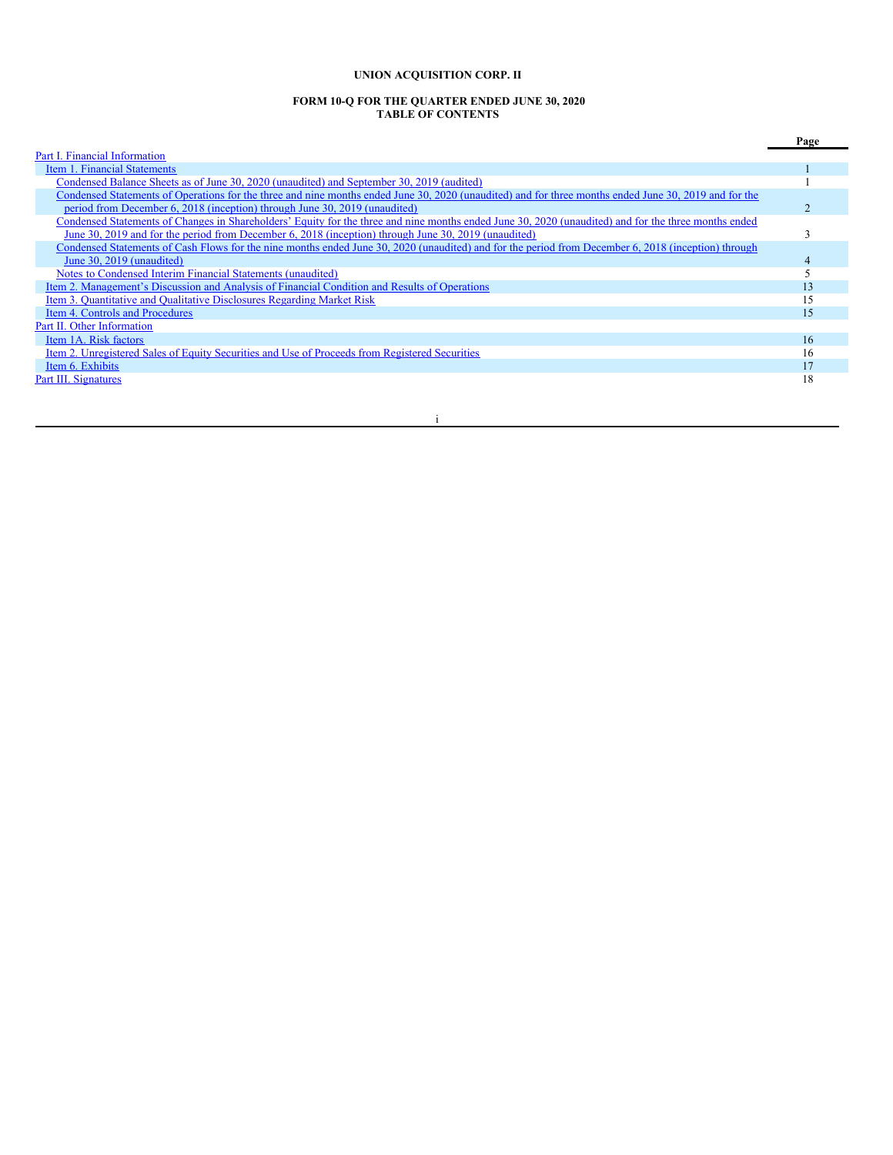# **UNION ACQUISITION CORP. II**

#### **FORM 10-Q FOR THE QUARTER ENDED JUNE 30, 2020 TABLE OF CONTENTS**

|                                                                                                                                                       | Page |
|-------------------------------------------------------------------------------------------------------------------------------------------------------|------|
| Part I. Financial Information                                                                                                                         |      |
| Item 1. Financial Statements                                                                                                                          |      |
| Condensed Balance Sheets as of June 30, 2020 (unaudited) and September 30, 2019 (audited)                                                             |      |
| Condensed Statements of Operations for the three and nine months ended June 30, 2020 (unaudited) and for three months ended June 30, 2019 and for the |      |
| period from December 6, 2018 (inception) through June 30, 2019 (unaudited)                                                                            |      |
| Condensed Statements of Changes in Shareholders' Equity for the three and nine months ended June 30, 2020 (unaudited) and for the three months ended  |      |
| June 30, 2019 and for the period from December 6, 2018 (inception) through June 30, 2019 (unaudited)                                                  |      |
| Condensed Statements of Cash Flows for the nine months ended June 30, 2020 (unaudited) and for the period from December 6, 2018 (inception) through   |      |
| June 30, 2019 (unaudited)                                                                                                                             |      |
| Notes to Condensed Interim Financial Statements (unaudited)                                                                                           |      |
| <u>Item 2. Management's Discussion and Analysis of Financial Condition and Results of Operations</u>                                                  |      |
| Item 3. Quantitative and Qualitative Disclosures Regarding Market Risk                                                                                |      |
| Item 4. Controls and Procedures                                                                                                                       | 15   |
| Part II. Other Information                                                                                                                            |      |
| Item 1A. Risk factors                                                                                                                                 | 16   |
| Item 2. Unregistered Sales of Equity Securities and Use of Proceeds from Registered Securities                                                        | 16   |
| Item 6. Exhibits                                                                                                                                      |      |
| Part III. Signatures                                                                                                                                  | 18   |
|                                                                                                                                                       |      |

i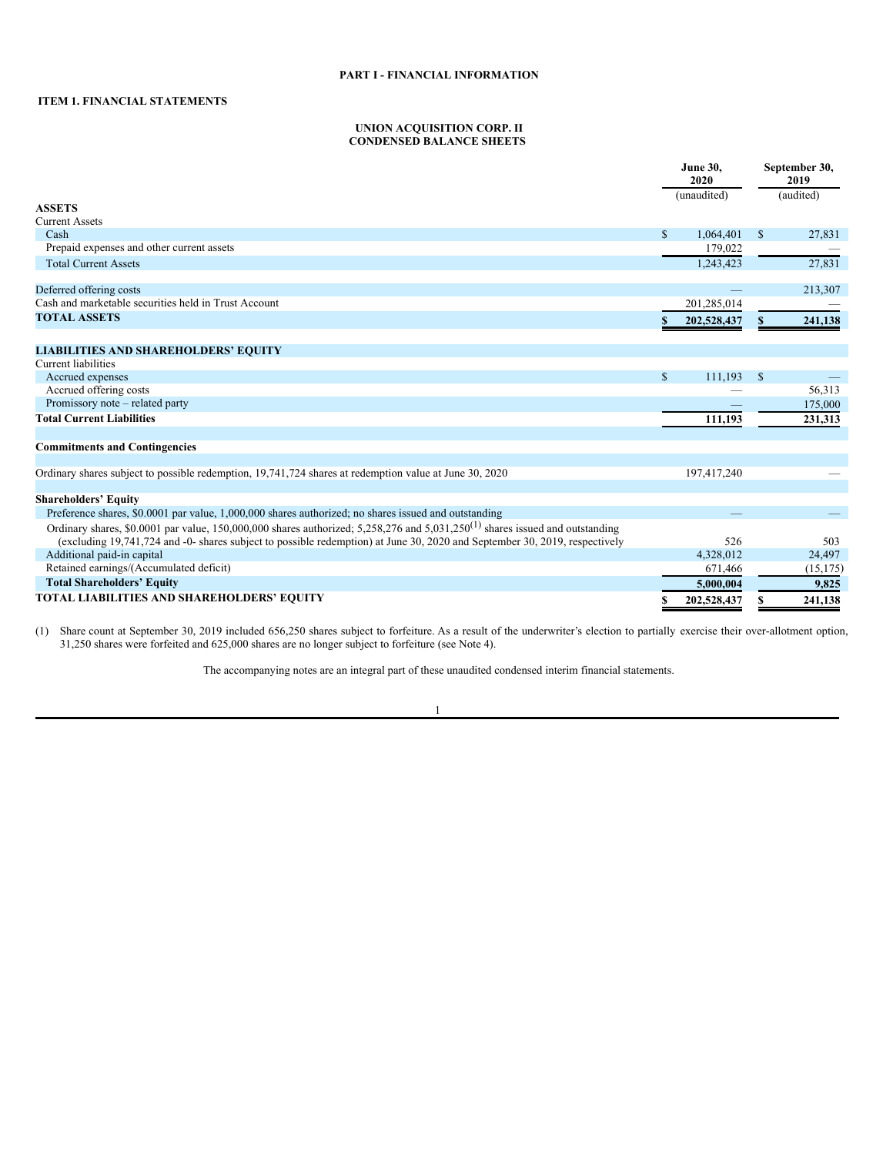# <span id="page-2-1"></span>**ITEM 1. FINANCIAL STATEMENTS**

# <span id="page-2-2"></span><span id="page-2-0"></span>**UNION ACQUISITION CORP. II CONDENSED BALANCE SHEETS**

|                                                                                                                                          |              | <b>June 30,</b><br>2020 |               | September 30,<br>2019 |
|------------------------------------------------------------------------------------------------------------------------------------------|--------------|-------------------------|---------------|-----------------------|
|                                                                                                                                          |              | (unaudited)             |               | (audited)             |
| <b>ASSETS</b>                                                                                                                            |              |                         |               |                       |
| <b>Current Assets</b>                                                                                                                    |              |                         |               |                       |
| Cash                                                                                                                                     | $\mathbf{s}$ | 1,064,401               | <sup>\$</sup> | 27,831                |
| Prepaid expenses and other current assets                                                                                                |              | 179,022                 |               |                       |
| <b>Total Current Assets</b>                                                                                                              |              | 1,243,423               |               | 27,831                |
| Deferred offering costs                                                                                                                  |              |                         |               | 213,307               |
| Cash and marketable securities held in Trust Account                                                                                     |              | 201,285,014             |               |                       |
| <b>TOTAL ASSETS</b>                                                                                                                      |              | 202,528,437             |               | 241,138               |
|                                                                                                                                          |              |                         |               |                       |
| <b>LIABILITIES AND SHAREHOLDERS' EQUITY</b>                                                                                              |              |                         |               |                       |
| <b>Current liabilities</b>                                                                                                               |              |                         |               |                       |
| Accrued expenses                                                                                                                         | $\mathbb{S}$ | 111,193                 | -S            |                       |
| Accrued offering costs                                                                                                                   |              |                         |               | 56,313                |
| Promissory note – related party                                                                                                          |              |                         |               | 175,000               |
| <b>Total Current Liabilities</b>                                                                                                         |              | 111,193                 |               | 231,313               |
| <b>Commitments and Contingencies</b>                                                                                                     |              |                         |               |                       |
| Ordinary shares subject to possible redemption, 19,741,724 shares at redemption value at June 30, 2020                                   |              | 197,417,240             |               |                       |
| <b>Shareholders' Equity</b>                                                                                                              |              |                         |               |                       |
| Preference shares, \$0.0001 par value, 1,000,000 shares authorized; no shares issued and outstanding                                     |              |                         |               |                       |
| Ordinary shares, \$0.0001 par value, 150,000,000 shares authorized; 5,258,276 and 5,031,250 <sup>(1)</sup> shares issued and outstanding |              |                         |               |                       |
| (excluding 19,741,724 and -0- shares subject to possible redemption) at June 30, 2020 and September 30, 2019, respectively               |              | 526                     |               | 503                   |
| Additional paid-in capital                                                                                                               |              | 4,328,012               |               | 24,497                |
| Retained earnings/(Accumulated deficit)                                                                                                  |              | 671,466                 |               | (15, 175)             |
| <b>Total Shareholders' Equity</b>                                                                                                        |              | 5.000.004               |               | 9,825                 |
| TOTAL LIABILITIES AND SHAREHOLDERS' EQUITY                                                                                               |              | 202,528,437             |               | 241,138               |

(1) Share count at September 30, 2019 included 656,250 shares subject to forfeiture. As a result of the underwriter's election to partially exercise their over-allotment option, 31,250 shares were forfeited and 625,000 shares are no longer subject to forfeiture (see Note 4).

The accompanying notes are an integral part of these unaudited condensed interim financial statements.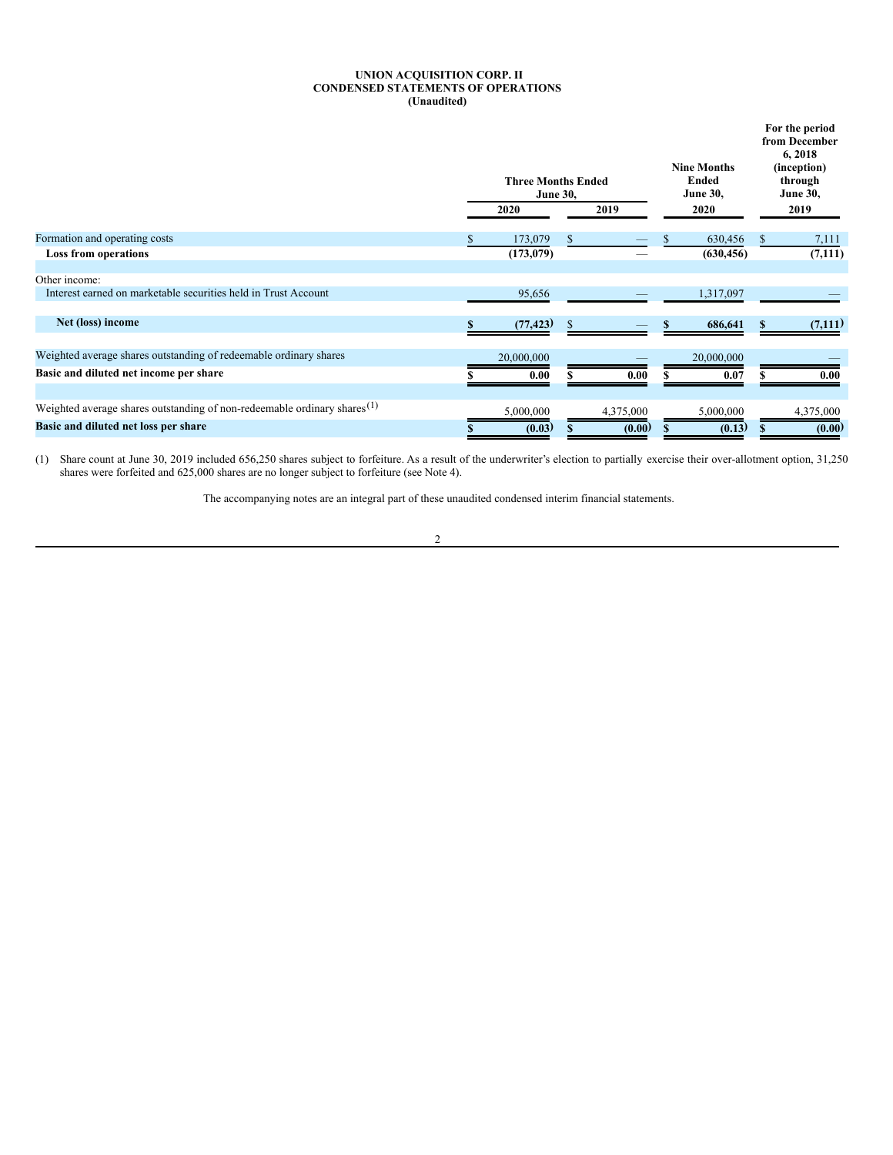# <span id="page-3-0"></span>**UNION ACQUISITION CORP. II CONDENSED STATEMENTS OF OPERATIONS (Unaudited)**

|                                                                                      | <b>Three Months Ended</b><br><b>June 30,</b> |           | <b>Nine Months</b><br><b>Ended</b><br><b>June 30,</b> | For the period<br>from December<br>6, 2018<br>(inception)<br>through<br><b>June 30,</b> |
|--------------------------------------------------------------------------------------|----------------------------------------------|-----------|-------------------------------------------------------|-----------------------------------------------------------------------------------------|
|                                                                                      | 2020                                         | 2019      | 2020                                                  | 2019                                                                                    |
| Formation and operating costs                                                        | 173,079                                      |           | 630,456                                               | 7,111                                                                                   |
| <b>Loss from operations</b>                                                          | (173,079)                                    |           | (630, 456)                                            | (7,111)                                                                                 |
| Other income:                                                                        |                                              |           |                                                       |                                                                                         |
| Interest earned on marketable securities held in Trust Account                       | 95,656                                       |           | 1,317,097                                             |                                                                                         |
| Net (loss) income                                                                    | (77, 423)                                    |           | 686,641                                               | (7,111)                                                                                 |
| Weighted average shares outstanding of redeemable ordinary shares                    | 20,000,000                                   |           | 20,000,000                                            |                                                                                         |
| Basic and diluted net income per share                                               | 0.00                                         | 0.00      | 0.07                                                  | 0.00                                                                                    |
| Weighted average shares outstanding of non-redeemable ordinary shares <sup>(1)</sup> | 5,000,000                                    | 4,375,000 | 5,000,000                                             | 4,375,000                                                                               |
| Basic and diluted net loss per share                                                 | (0.03)                                       | (0.00)    | (0.13)                                                | (0.00)                                                                                  |

(1) Share count at June 30, 2019 included 656,250 shares subject to forfeiture. As a result of the underwriter's election to partially exercise their over-allotment option, 31,250 shares were forfeited and 625,000 shares are no longer subject to forfeiture (see Note 4).

The accompanying notes are an integral part of these unaudited condensed interim financial statements.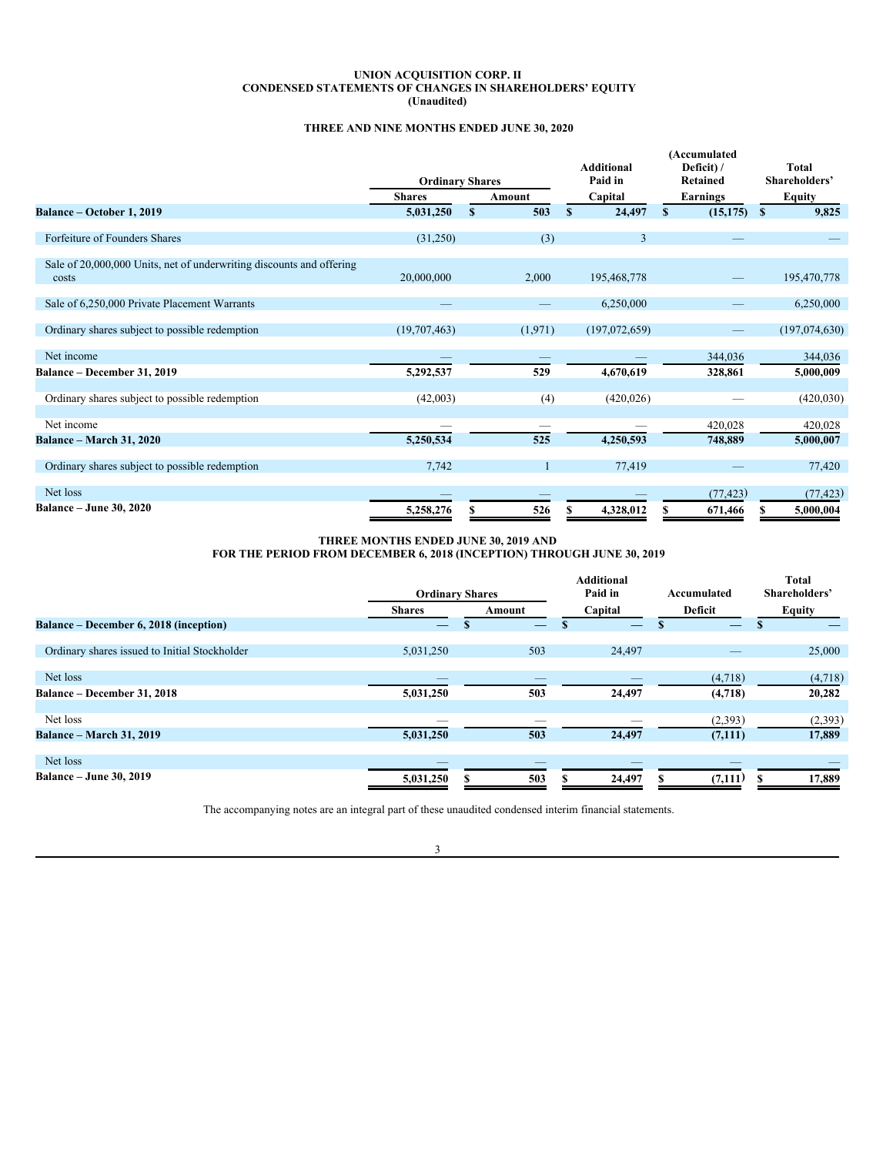# <span id="page-4-0"></span>**UNION ACQUISITION CORP. II CONDENSED STATEMENTS OF CHANGES IN SHAREHOLDERS' EQUITY (Unaudited)**

# **THREE AND NINE MONTHS ENDED JUNE 30, 2020**

|                                                                      | <b>Ordinary Shares</b> |   |         | <b>Additional</b><br>Paid in | (Accumulated<br>Deficit) /<br>Retained | <b>Total</b><br>Shareholders' |
|----------------------------------------------------------------------|------------------------|---|---------|------------------------------|----------------------------------------|-------------------------------|
|                                                                      | <b>Shares</b>          |   | Amount  | Capital                      | Earnings                               | <b>Equity</b>                 |
| Balance - October 1, 2019                                            | 5,031,250              | S | 503     | 24,497<br>\$                 | (15, 175)<br>S.                        | 9,825<br><sup>S</sup>         |
|                                                                      |                        |   |         |                              |                                        |                               |
| Forfeiture of Founders Shares                                        | (31,250)               |   | (3)     | 3                            |                                        |                               |
| Sale of 20,000,000 Units, net of underwriting discounts and offering |                        |   |         |                              |                                        |                               |
| costs                                                                | 20,000,000             |   | 2,000   | 195,468,778                  |                                        | 195,470,778                   |
|                                                                      |                        |   |         |                              |                                        |                               |
| Sale of 6,250,000 Private Placement Warrants                         |                        |   |         | 6,250,000                    |                                        | 6,250,000                     |
|                                                                      | (19,707,463)           |   |         |                              |                                        |                               |
| Ordinary shares subject to possible redemption                       |                        |   | (1,971) | (197,072,659)                |                                        | (197,074,630)                 |
| Net income                                                           |                        |   |         |                              | 344,036                                | 344,036                       |
| Balance - December 31, 2019                                          | 5,292,537              |   | 529     | 4,670,619                    | 328,861                                | 5,000,009                     |
|                                                                      |                        |   |         |                              |                                        |                               |
| Ordinary shares subject to possible redemption                       | (42,003)               |   | (4)     | (420, 026)                   |                                        | (420, 030)                    |
| Net income                                                           |                        |   |         |                              |                                        |                               |
|                                                                      |                        |   |         |                              | 420,028                                | 420,028                       |
| <b>Balance – March 31, 2020</b>                                      | 5,250,534              |   | 525     | 4,250,593                    | 748,889                                | 5,000,007                     |
| Ordinary shares subject to possible redemption                       | 7,742                  |   |         | 77,419                       |                                        | 77,420                        |
|                                                                      |                        |   |         |                              |                                        |                               |
| Net loss                                                             |                        |   |         |                              | (77, 423)                              | (77, 423)                     |
| <b>Balance – June 30, 2020</b>                                       | 5,258,276              |   | 526     | 4,328,012                    | 671,466                                | 5,000,004                     |

### **THREE MONTHS ENDED JUNE 30, 2019 AND**

### **FOR THE PERIOD FROM DECEMBER 6, 2018 (INCEPTION) THROUGH JUNE 30, 2019**

|                                               | <b>Ordinary Shares</b> |        |         | <b>Additional</b><br>Paid in |         | Accumulated         | <b>Total</b><br>Shareholders' |
|-----------------------------------------------|------------------------|--------|---------|------------------------------|---------|---------------------|-------------------------------|
|                                               | <b>Shares</b>          | Amount | Capital |                              | Deficit |                     | Equity                        |
| Balance – December 6, 2018 (inception)        | —                      |        |         |                              |         |                     |                               |
| Ordinary shares issued to Initial Stockholder | 5,031,250              | 503    |         | 24,497                       |         |                     | 25,000                        |
| Net loss<br>Balance - December 31, 2018       | 5,031,250              | 503    |         | 24,497                       |         | (4,718)<br>(4,718)  | (4,718)<br>20,282             |
| Net loss<br><b>Balance – March 31, 2019</b>   | 5,031,250              | 503    |         | 24,497                       |         | (2,393)<br>(7, 111) | (2,393)<br>17,889             |
| Net loss<br><b>Balance – June 30, 2019</b>    | 5,031,250              | 503    |         | 24,497                       |         | (7,111)             | 17,889                        |

The accompanying notes are an integral part of these unaudited condensed interim financial statements.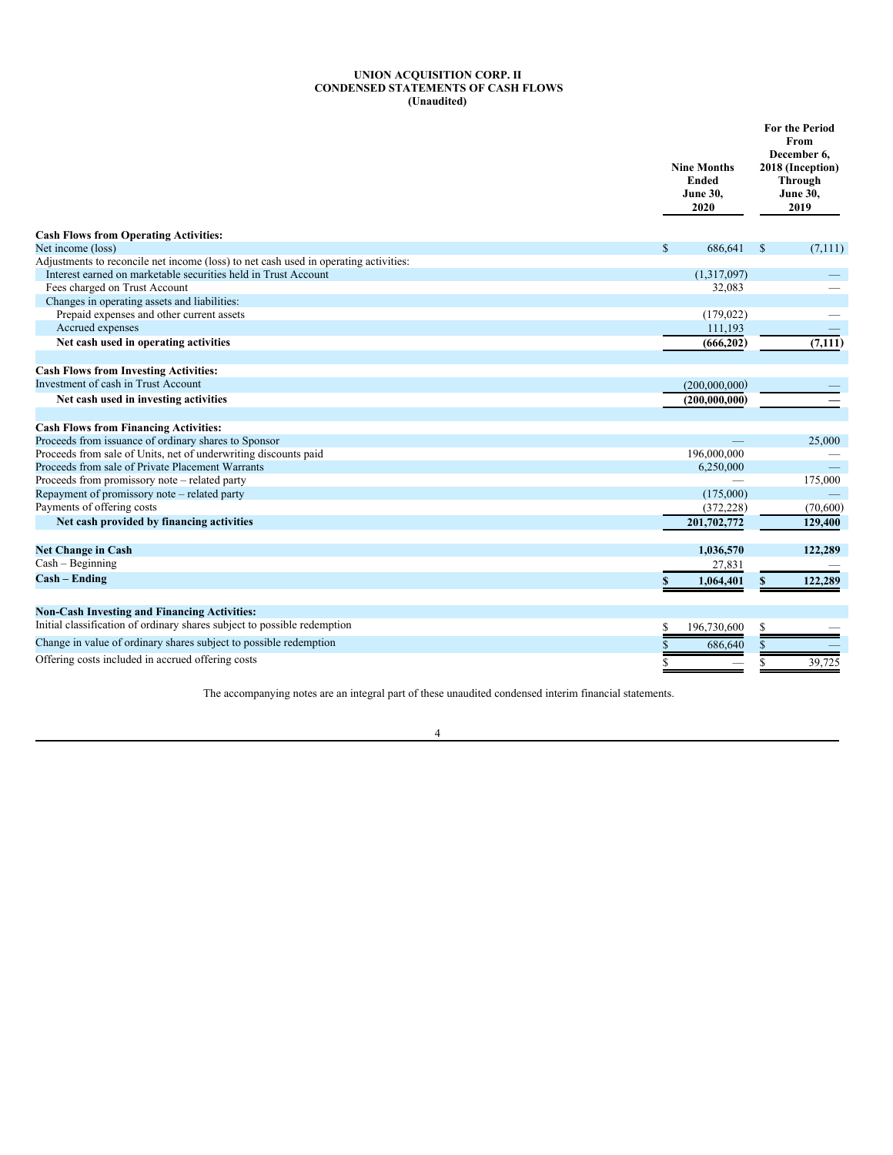#### <span id="page-5-0"></span>**UNION ACQUISITION CORP. II CONDENSED STATEMENTS OF CASH FLOWS (Unaudited)**

|                                                                                                                                                        | <b>Nine Months</b><br>Ended<br>June 30,<br>2020 | <b>For the Period</b><br>From<br>December 6.<br>2018 (Inception)<br>Through<br><b>June 30,</b><br>2019 |
|--------------------------------------------------------------------------------------------------------------------------------------------------------|-------------------------------------------------|--------------------------------------------------------------------------------------------------------|
| <b>Cash Flows from Operating Activities:</b>                                                                                                           |                                                 |                                                                                                        |
| Net income (loss)                                                                                                                                      | \$<br>686.641                                   | \$<br>(7, 111)                                                                                         |
| Adjustments to reconcile net income (loss) to net cash used in operating activities:<br>Interest earned on marketable securities held in Trust Account | (1,317,097)                                     |                                                                                                        |
| Fees charged on Trust Account                                                                                                                          | 32,083                                          |                                                                                                        |
| Changes in operating assets and liabilities:                                                                                                           |                                                 |                                                                                                        |
| Prepaid expenses and other current assets                                                                                                              | (179, 022)                                      |                                                                                                        |
| Accrued expenses                                                                                                                                       | 111,193                                         |                                                                                                        |
| Net cash used in operating activities                                                                                                                  | (666, 202)                                      | (7, 111)                                                                                               |
|                                                                                                                                                        |                                                 |                                                                                                        |
| <b>Cash Flows from Investing Activities:</b>                                                                                                           |                                                 |                                                                                                        |
| Investment of cash in Trust Account                                                                                                                    | (200,000,000)                                   |                                                                                                        |
| Net cash used in investing activities                                                                                                                  | (200, 000, 000)                                 |                                                                                                        |
| <b>Cash Flows from Financing Activities:</b>                                                                                                           |                                                 |                                                                                                        |
| Proceeds from issuance of ordinary shares to Sponsor                                                                                                   |                                                 | 25,000                                                                                                 |
| Proceeds from sale of Units, net of underwriting discounts paid                                                                                        | 196,000,000                                     |                                                                                                        |
| Proceeds from sale of Private Placement Warrants                                                                                                       | 6,250,000                                       |                                                                                                        |
| Proceeds from promissory note – related party                                                                                                          |                                                 | 175,000                                                                                                |
| Repayment of promissory note – related party                                                                                                           | (175,000)                                       |                                                                                                        |
| Payments of offering costs                                                                                                                             | (372, 228)                                      | (70,600)                                                                                               |
| Net cash provided by financing activities                                                                                                              | 201,702,772                                     | 129,400                                                                                                |
|                                                                                                                                                        |                                                 |                                                                                                        |
| <b>Net Change in Cash</b>                                                                                                                              | 1,036,570                                       | 122,289                                                                                                |
| $Cash - Beginning$                                                                                                                                     | 27,831                                          |                                                                                                        |
| Cash – Ending                                                                                                                                          | 1,064,401                                       | 122,289                                                                                                |
|                                                                                                                                                        |                                                 |                                                                                                        |
| <b>Non-Cash Investing and Financing Activities:</b>                                                                                                    |                                                 |                                                                                                        |
| Initial classification of ordinary shares subject to possible redemption                                                                               | 196,730,600                                     | \$                                                                                                     |
| Change in value of ordinary shares subject to possible redemption                                                                                      | 686,640<br>S                                    | \$                                                                                                     |
| Offering costs included in accrued offering costs                                                                                                      | ς                                               | 39,725                                                                                                 |

The accompanying notes are an integral part of these unaudited condensed interim financial statements.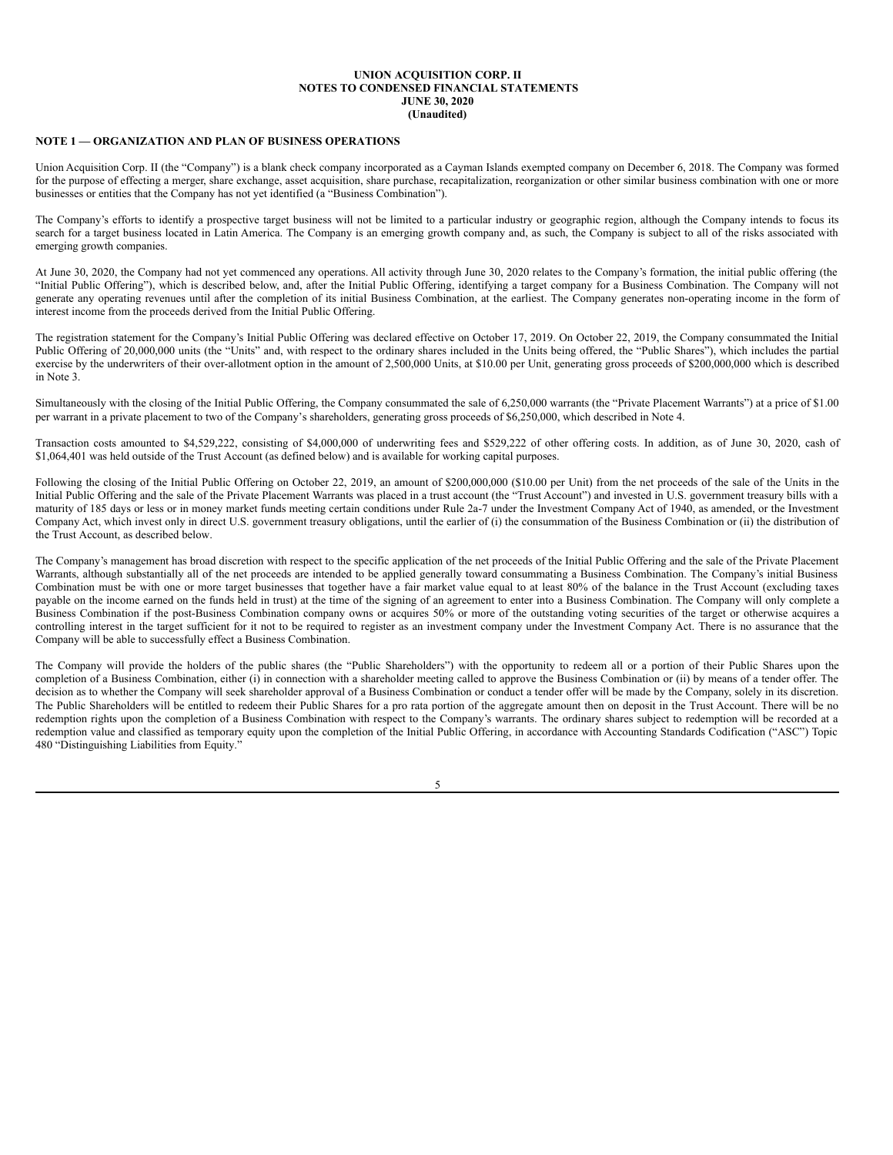# <span id="page-6-0"></span>**NOTE 1 — ORGANIZATION AND PLAN OF BUSINESS OPERATIONS**

Union Acquisition Corp. II (the "Company") is a blank check company incorporated as a Cayman Islands exempted company on December 6, 2018. The Company was formed for the purpose of effecting a merger, share exchange, asset acquisition, share purchase, recapitalization, reorganization or other similar business combination with one or more businesses or entities that the Company has not yet identified (a "Business Combination").

The Company's efforts to identify a prospective target business will not be limited to a particular industry or geographic region, although the Company intends to focus its search for a target business located in Latin America. The Company is an emerging growth company and, as such, the Company is subject to all of the risks associated with emerging growth companies.

At June 30, 2020, the Company had not yet commenced any operations. All activity through June 30, 2020 relates to the Company's formation, the initial public offering (the "Initial Public Offering"), which is described below, and, after the Initial Public Offering, identifying a target company for a Business Combination. The Company will not generate any operating revenues until after the completion of its initial Business Combination, at the earliest. The Company generates non-operating income in the form of interest income from the proceeds derived from the Initial Public Offering.

The registration statement for the Company's Initial Public Offering was declared effective on October 17, 2019. On October 22, 2019, the Company consummated the Initial Public Offering of 20,000,000 units (the "Units" and, with respect to the ordinary shares included in the Units being offered, the "Public Shares"), which includes the partial exercise by the underwriters of their over-allotment option in the amount of 2,500,000 Units, at \$10.00 per Unit, generating gross proceeds of \$200,000,000 which is described in Note 3.

Simultaneously with the closing of the Initial Public Offering, the Company consummated the sale of 6,250,000 warrants (the "Private Placement Warrants") at a price of \$1.00 per warrant in a private placement to two of the Company's shareholders, generating gross proceeds of \$6,250,000, which described in Note 4.

Transaction costs amounted to \$4,529,222, consisting of \$4,000,000 of underwriting fees and \$529,222 of other offering costs. In addition, as of June 30, 2020, cash of \$1,064,401 was held outside of the Trust Account (as defined below) and is available for working capital purposes.

Following the closing of the Initial Public Offering on October 22, 2019, an amount of \$200,000,000 (\$10.00 per Unit) from the net proceeds of the sale of the Units in the Initial Public Offering and the sale of the Private Placement Warrants was placed in a trust account (the "Trust Account") and invested in U.S. government treasury bills with a maturity of 185 days or less or in money market funds meeting certain conditions under Rule 2a-7 under the Investment Company Act of 1940, as amended, or the Investment Company Act, which invest only in direct U.S. government treasury obligations, until the earlier of (i) the consummation of the Business Combination or (ii) the distribution of the Trust Account, as described below.

The Company's management has broad discretion with respect to the specific application of the net proceeds of the Initial Public Offering and the sale of the Private Placement Warrants, although substantially all of the net proceeds are intended to be applied generally toward consummating a Business Combination. The Company's initial Business Combination must be with one or more target businesses that together have a fair market value equal to at least 80% of the balance in the Trust Account (excluding taxes payable on the income earned on the funds held in trust) at the time of the signing of an agreement to enter into a Business Combination. The Company will only complete a Business Combination if the post-Business Combination company owns or acquires 50% or more of the outstanding voting securities of the target or otherwise acquires a controlling interest in the target sufficient for it not to be required to register as an investment company under the Investment Company Act. There is no assurance that the Company will be able to successfully effect a Business Combination.

The Company will provide the holders of the public shares (the "Public Shareholders") with the opportunity to redeem all or a portion of their Public Shares upon the completion of a Business Combination, either (i) in connection with a shareholder meeting called to approve the Business Combination or (ii) by means of a tender offer. The decision as to whether the Company will seek shareholder approval of a Business Combination or conduct a tender offer will be made by the Company, solely in its discretion. The Public Shareholders will be entitled to redeem their Public Shares for a pro rata portion of the aggregate amount then on deposit in the Trust Account. There will be no redemption rights upon the completion of a Business Combination with respect to the Company's warrants. The ordinary shares subject to redemption will be recorded at a redemption value and classified as temporary equity upon the completion of the Initial Public Offering, in accordance with Accounting Standards Codification ("ASC") Topic 480 "Distinguishing Liabilities from Equity."

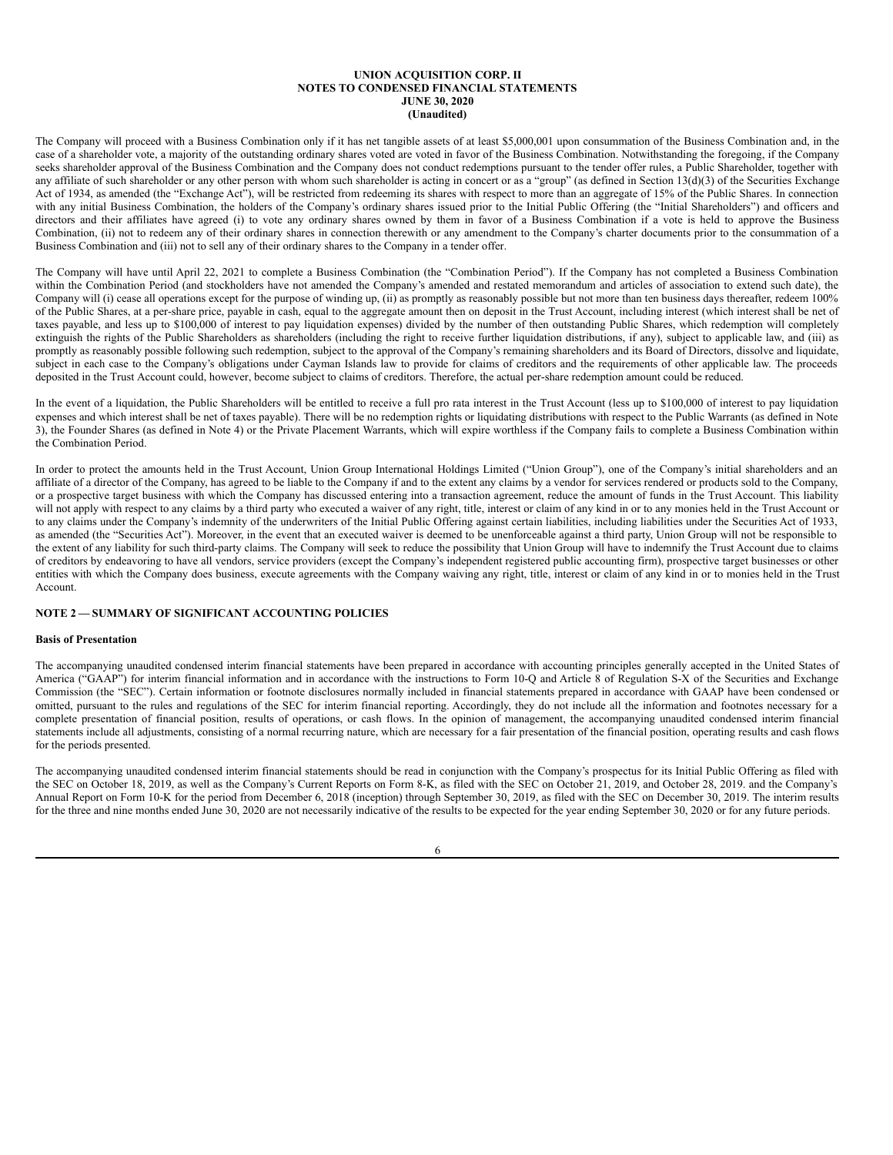The Company will proceed with a Business Combination only if it has net tangible assets of at least \$5,000,001 upon consummation of the Business Combination and, in the case of a shareholder vote, a majority of the outstanding ordinary shares voted are voted in favor of the Business Combination. Notwithstanding the foregoing, if the Company seeks shareholder approval of the Business Combination and the Company does not conduct redemptions pursuant to the tender offer rules, a Public Shareholder, together with any affiliate of such shareholder or any other person with whom such shareholder is acting in concert or as a "group" (as defined in Section 13(d)(3) of the Securities Exchange Act of 1934, as amended (the "Exchange Act"), will be restricted from redeeming its shares with respect to more than an aggregate of 15% of the Public Shares. In connection with any initial Business Combination, the holders of the Company's ordinary shares issued prior to the Initial Public Offering (the "Initial Shareholders") and officers and directors and their affiliates have agreed (i) to vote any ordinary shares owned by them in favor of a Business Combination if a vote is held to approve the Business Combination, (ii) not to redeem any of their ordinary shares in connection therewith or any amendment to the Company's charter documents prior to the consummation of a Business Combination and (iii) not to sell any of their ordinary shares to the Company in a tender offer.

The Company will have until April 22, 2021 to complete a Business Combination (the "Combination Period"). If the Company has not completed a Business Combination within the Combination Period (and stockholders have not amended the Company's amended and restated memorandum and articles of association to extend such date), the Company will (i) cease all operations except for the purpose of winding up,  $(ii)$  as promptly as reasonably possible but not more than ten business days thereafter, redeem 100% of the Public Shares, at a per-share price, payable in cash, equal to the aggregate amount then on deposit in the Trust Account, including interest (which interest shall be net of taxes payable, and less up to \$100,000 of interest to pay liquidation expenses) divided by the number of then outstanding Public Shares, which redemption will completely extinguish the rights of the Public Shareholders as shareholders (including the right to receive further liquidation distributions, if any), subject to applicable law, and (iii) as promptly as reasonably possible following such redemption, subject to the approval of the Company's remaining shareholders and its Board of Directors, dissolve and liquidate, subject in each case to the Company's obligations under Cayman Islands law to provide for claims of creditors and the requirements of other applicable law. The proceeds deposited in the Trust Account could, however, become subject to claims of creditors. Therefore, the actual per-share redemption amount could be reduced.

In the event of a liquidation, the Public Shareholders will be entitled to receive a full pro rata interest in the Trust Account (less up to \$100,000 of interest to pay liquidation expenses and which interest shall be net of taxes payable). There will be no redemption rights or liquidating distributions with respect to the Public Warrants (as defined in Note 3), the Founder Shares (as defined in Note 4) or the Private Placement Warrants, which will expire worthless if the Company fails to complete a Business Combination within the Combination Period.

In order to protect the amounts held in the Trust Account, Union Group International Holdings Limited ("Union Group"), one of the Company's initial shareholders and an affiliate of a director of the Company, has agreed to be liable to the Company if and to the extent any claims by a vendor for services rendered or products sold to the Company, or a prospective target business with which the Company has discussed entering into a transaction agreement, reduce the amount of funds in the Trust Account. This liability will not apply with respect to any claims by a third party who executed a waiver of any right, title, interest or claim of any kind in or to any monies held in the Trust Account or to any claims under the Company's indemnity of the underwriters of the Initial Public Offering against certain liabilities, including liabilities under the Securities Act of 1933, as amended (the "Securities Act"). Moreover, in the event that an executed waiver is deemed to be unenforceable against a third party, Union Group will not be responsible to the extent of any liability for such third-party claims. The Company will seek to reduce the possibility that Union Group will have to indemnify the Trust Account due to claims of creditors by endeavoring to have all vendors, service providers (except the Company's independent registered public accounting firm), prospective target businesses or other entities with which the Company does business, execute agreements with the Company waiving any right, title, interest or claim of any kind in or to monies held in the Trust Account.

# **NOTE 2 — SUMMARY OF SIGNIFICANT ACCOUNTING POLICIES**

### **Basis of Presentation**

The accompanying unaudited condensed interim financial statements have been prepared in accordance with accounting principles generally accepted in the United States of America ("GAAP") for interim financial information and in accordance with the instructions to Form 10-Q and Article 8 of Regulation S-X of the Securities and Exchange Commission (the "SEC"). Certain information or footnote disclosures normally included in financial statements prepared in accordance with GAAP have been condensed or omitted, pursuant to the rules and regulations of the SEC for interim financial reporting. Accordingly, they do not include all the information and footnotes necessary for a complete presentation of financial position, results of operations, or cash flows. In the opinion of management, the accompanying unaudited condensed interim financial statements include all adjustments, consisting of a normal recurring nature, which are necessary for a fair presentation of the financial position, operating results and cash flows for the periods presented.

The accompanying unaudited condensed interim financial statements should be read in conjunction with the Company's prospectus for its Initial Public Offering as filed with the SEC on October 18, 2019, as well as the Company's Current Reports on Form 8-K, as filed with the SEC on October 21, 2019, and October 28, 2019. and the Company's Annual Report on Form 10-K for the period from December 6, 2018 (inception) through September 30, 2019, as filed with the SEC on December 30, 2019. The interim results for the three and nine months ended June 30, 2020 are not necessarily indicative of the results to be expected for the year ending September 30, 2020 or for any future periods.

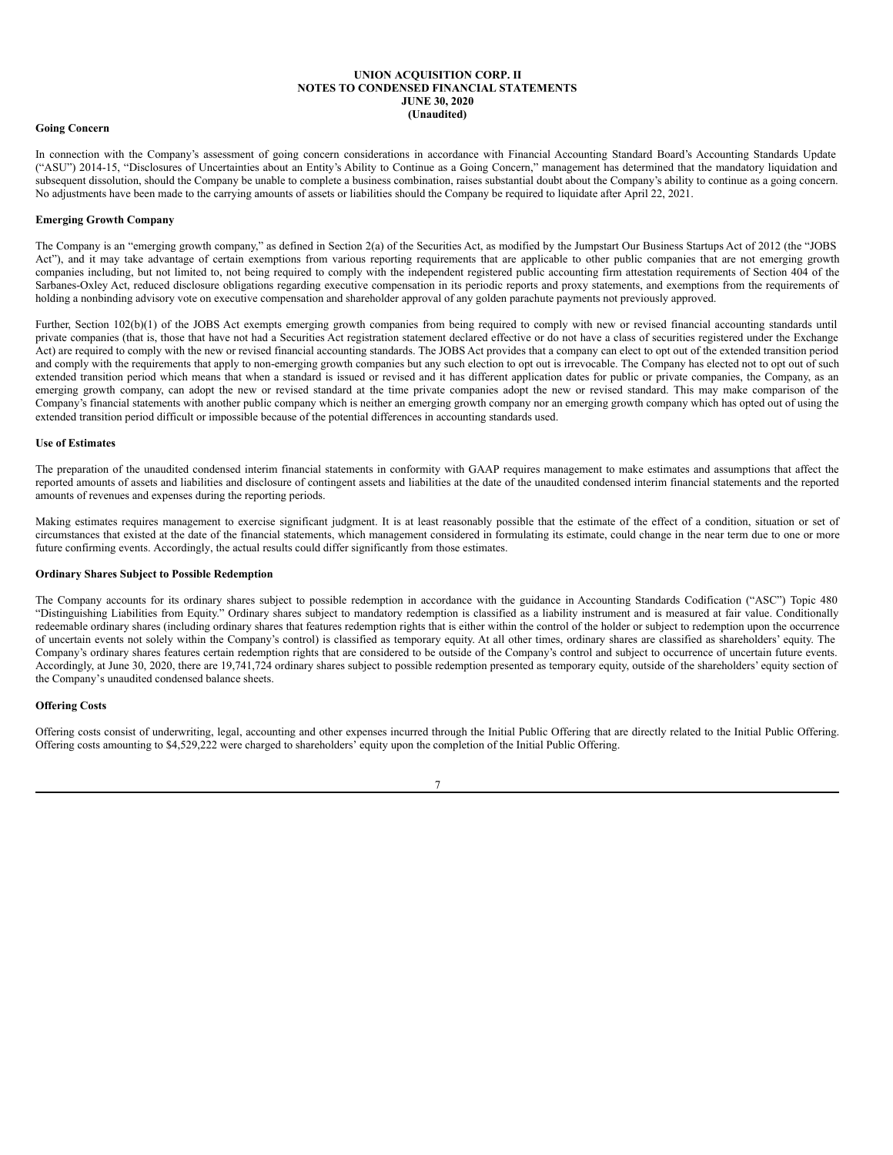# **Going Concern**

In connection with the Company's assessment of going concern considerations in accordance with Financial Accounting Standard Board's Accounting Standards Update ("ASU") 2014-15, "Disclosures of Uncertainties about an Entity's Ability to Continue as a Going Concern," management has determined that the mandatory liquidation and subsequent dissolution, should the Company be unable to complete a business combination, raises substantial doubt about the Company's ability to continue as a going concern. No adjustments have been made to the carrying amounts of assets or liabilities should the Company be required to liquidate after April 22, 2021.

### **Emerging Growth Company**

The Company is an "emerging growth company," as defined in Section 2(a) of the Securities Act, as modified by the Jumpstart Our Business Startups Act of 2012 (the "JOBS Act"), and it may take advantage of certain exemptions from various reporting requirements that are applicable to other public companies that are not emerging growth companies including, but not limited to, not being required to comply with the independent registered public accounting firm attestation requirements of Section 404 of the Sarbanes-Oxley Act, reduced disclosure obligations regarding executive compensation in its periodic reports and proxy statements, and exemptions from the requirements of holding a nonbinding advisory vote on executive compensation and shareholder approval of any golden parachute payments not previously approved.

Further, Section 102(b)(1) of the JOBS Act exempts emerging growth companies from being required to comply with new or revised financial accounting standards until private companies (that is, those that have not had a Securities Act registration statement declared effective or do not have a class of securities registered under the Exchange Act) are required to comply with the new or revised financial accounting standards. The JOBS Act provides that a company can elect to opt out of the extended transition period and comply with the requirements that apply to non-emerging growth companies but any such election to opt out is irrevocable. The Company has elected not to opt out of such extended transition period which means that when a standard is issued or revised and it has different application dates for public or private companies, the Company, as an emerging growth company, can adopt the new or revised standard at the time private companies adopt the new or revised standard. This may make comparison of the Company's financial statements with another public company which is neither an emerging growth company nor an emerging growth company which has opted out of using the extended transition period difficult or impossible because of the potential differences in accounting standards used.

# **Use of Estimates**

The preparation of the unaudited condensed interim financial statements in conformity with GAAP requires management to make estimates and assumptions that affect the reported amounts of assets and liabilities and disclosure of contingent assets and liabilities at the date of the unaudited condensed interim financial statements and the reported amounts of revenues and expenses during the reporting periods.

Making estimates requires management to exercise significant judgment. It is at least reasonably possible that the estimate of the effect of a condition, situation or set of circumstances that existed at the date of the financial statements, which management considered in formulating its estimate, could change in the near term due to one or more future confirming events. Accordingly, the actual results could differ significantly from those estimates.

#### **Ordinary Shares Subject to Possible Redemption**

The Company accounts for its ordinary shares subject to possible redemption in accordance with the guidance in Accounting Standards Codification ("ASC") Topic 480 "Distinguishing Liabilities from Equity." Ordinary shares subject to mandatory redemption is classified as a liability instrument and is measured at fair value. Conditionally redeemable ordinary shares (including ordinary shares that features redemption rights that is either within the control of the holder or subject to redemption upon the occurrence of uncertain events not solely within the Company's control) is classified as temporary equity. At all other times, ordinary shares are classified as shareholders' equity. The Company's ordinary shares features certain redemption rights that are considered to be outside of the Company's control and subject to occurrence of uncertain future events. Accordingly, at June 30, 2020, there are 19,741,724 ordinary shares subject to possible redemption presented as temporary equity, outside of the shareholders' equity section of the Company's unaudited condensed balance sheets.

# **Offering Costs**

Offering costs consist of underwriting, legal, accounting and other expenses incurred through the Initial Public Offering that are directly related to the Initial Public Offering. Offering costs amounting to \$4,529,222 were charged to shareholders' equity upon the completion of the Initial Public Offering.

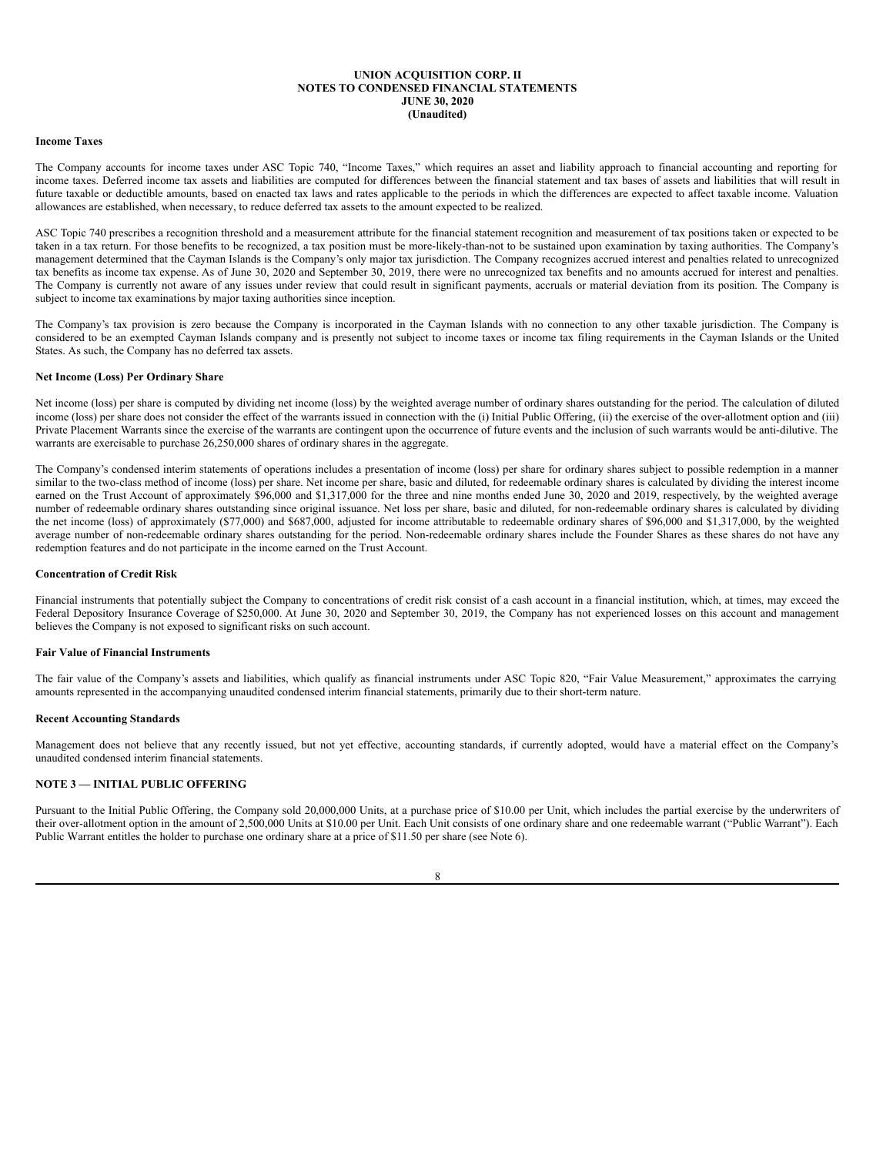#### **Income Taxes**

The Company accounts for income taxes under ASC Topic 740, "Income Taxes," which requires an asset and liability approach to financial accounting and reporting for income taxes. Deferred income tax assets and liabilities are computed for differences between the financial statement and tax bases of assets and liabilities that will result in future taxable or deductible amounts, based on enacted tax laws and rates applicable to the periods in which the differences are expected to affect taxable income. Valuation allowances are established, when necessary, to reduce deferred tax assets to the amount expected to be realized.

ASC Topic 740 prescribes a recognition threshold and a measurement attribute for the financial statement recognition and measurement of tax positions taken or expected to be taken in a tax return. For those benefits to be recognized, a tax position must be more-likely-than-not to be sustained upon examination by taxing authorities. The Company's management determined that the Cayman Islands is the Company's only major tax jurisdiction. The Company recognizes accrued interest and penalties related to unrecognized tax benefits as income tax expense. As of June 30, 2020 and September 30, 2019, there were no unrecognized tax benefits and no amounts accrued for interest and penalties. The Company is currently not aware of any issues under review that could result in significant payments, accruals or material deviation from its position. The Company is subject to income tax examinations by major taxing authorities since inception.

The Company's tax provision is zero because the Company is incorporated in the Cayman Islands with no connection to any other taxable jurisdiction. The Company is considered to be an exempted Cayman Islands company and is presently not subject to income taxes or income tax filing requirements in the Cayman Islands or the United States. As such, the Company has no deferred tax assets.

## **Net Income (Loss) Per Ordinary Share**

Net income (loss) per share is computed by dividing net income (loss) by the weighted average number of ordinary shares outstanding for the period. The calculation of diluted income (loss) per share does not consider the effect of the warrants issued in connection with the (i) Initial Public Offering, (ii) the exercise of the over-allotment option and (iii) Private Placement Warrants since the exercise of the warrants are contingent upon the occurrence of future events and the inclusion of such warrants would be anti-dilutive. The warrants are exercisable to purchase 26,250,000 shares of ordinary shares in the aggregate.

The Company's condensed interim statements of operations includes a presentation of income (loss) per share for ordinary shares subject to possible redemption in a manner similar to the two-class method of income (loss) per share. Net income per share, basic and diluted, for redeemable ordinary shares is calculated by dividing the interest income earned on the Trust Account of approximately \$96,000 and \$1,317,000 for the three and nine months ended June 30, 2020 and 2019, respectively, by the weighted average number of redeemable ordinary shares outstanding since original issuance. Net loss per share, basic and diluted, for non-redeemable ordinary shares is calculated by dividing the net income (loss) of approximately (\$77,000) and \$687,000, adjusted for income attributable to redeemable ordinary shares of \$96,000 and \$1,317,000, by the weighted average number of non-redeemable ordinary shares outstanding for the period. Non-redeemable ordinary shares include the Founder Shares as these shares do not have any redemption features and do not participate in the income earned on the Trust Account.

#### **Concentration of Credit Risk**

Financial instruments that potentially subject the Company to concentrations of credit risk consist of a cash account in a financial institution, which, at times, may exceed the Federal Depository Insurance Coverage of \$250,000. At June 30, 2020 and September 30, 2019, the Company has not experienced losses on this account and management believes the Company is not exposed to significant risks on such account.

# **Fair Value of Financial Instruments**

The fair value of the Company's assets and liabilities, which qualify as financial instruments under ASC Topic 820, "Fair Value Measurement," approximates the carrying amounts represented in the accompanying unaudited condensed interim financial statements, primarily due to their short-term nature.

#### **Recent Accounting Standards**

Management does not believe that any recently issued, but not yet effective, accounting standards, if currently adopted, would have a material effect on the Company's unaudited condensed interim financial statements.

# **NOTE 3 — INITIAL PUBLIC OFFERING**

Pursuant to the Initial Public Offering, the Company sold 20,000,000 Units, at a purchase price of \$10.00 per Unit, which includes the partial exercise by the underwriters of their over-allotment option in the amount of 2,500,000 Units at \$10.00 per Unit. Each Unit consists of one ordinary share and one redeemable warrant ("Public Warrant"). Each Public Warrant entitles the holder to purchase one ordinary share at a price of \$11.50 per share (see Note 6).

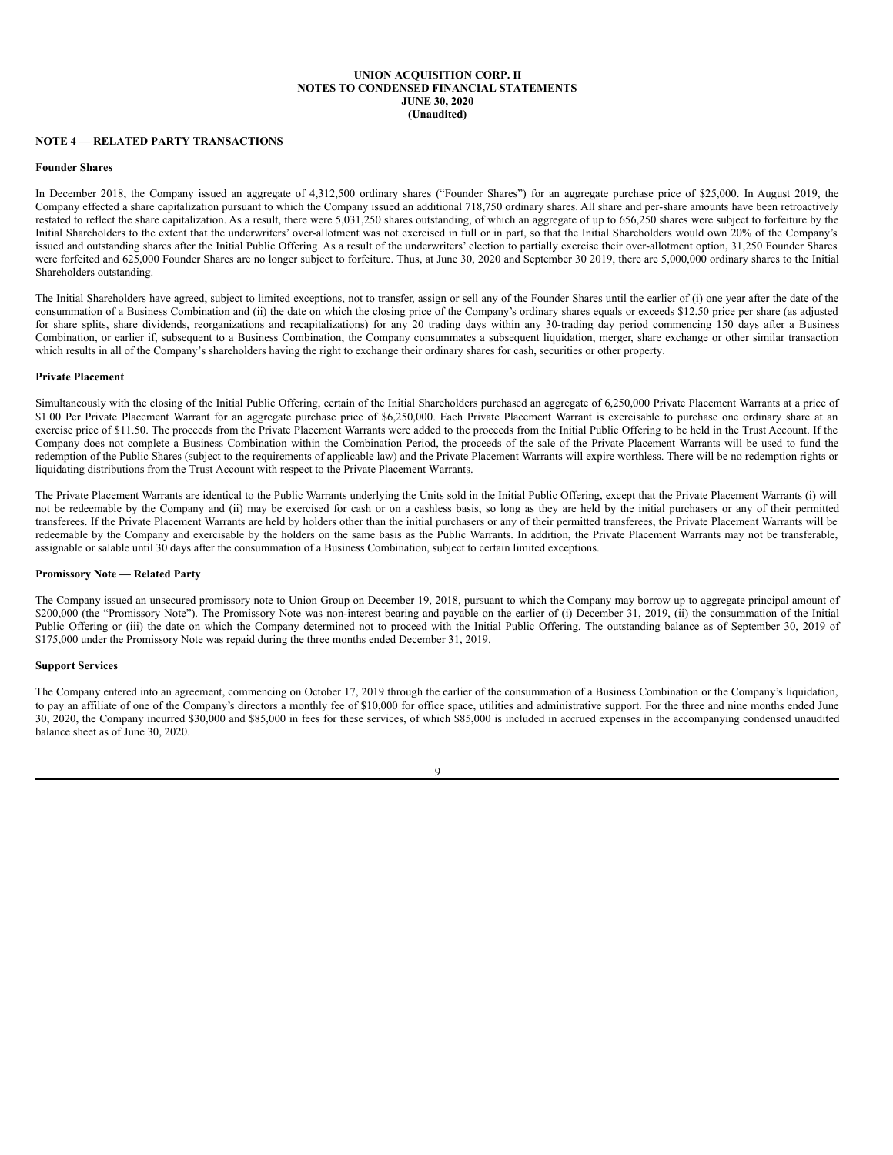# **NOTE 4 — RELATED PARTY TRANSACTIONS**

# **Founder Shares**

In December 2018, the Company issued an aggregate of 4,312,500 ordinary shares ("Founder Shares") for an aggregate purchase price of \$25,000. In August 2019, the Company effected a share capitalization pursuant to which the Company issued an additional 718,750 ordinary shares. All share and per-share amounts have been retroactively restated to reflect the share capitalization. As a result, there were 5,031,250 shares outstanding, of which an aggregate of up to 656,250 shares were subject to forfeiture by the Initial Shareholders to the extent that the underwriters' over-allotment was not exercised in full or in part, so that the Initial Shareholders would own 20% of the Company's issued and outstanding shares after the Initial Public Offering. As a result of the underwriters' election to partially exercise their over-allotment option, 31,250 Founder Shares were forfeited and 625,000 Founder Shares are no longer subject to forfeiture. Thus, at June 30, 2020 and September 30 2019, there are 5,000,000 ordinary shares to the Initial Shareholders outstanding.

The Initial Shareholders have agreed, subject to limited exceptions, not to transfer, assign or sell any of the Founder Shares until the earlier of (i) one year after the date of the consummation of a Business Combination and (ii) the date on which the closing price of the Company's ordinary shares equals or exceeds \$12.50 price per share (as adjusted for share splits, share dividends, reorganizations and recapitalizations) for any 20 trading days within any 30-trading day period commencing 150 days after a Business Combination, or earlier if, subsequent to a Business Combination, the Company consummates a subsequent liquidation, merger, share exchange or other similar transaction which results in all of the Company's shareholders having the right to exchange their ordinary shares for cash, securities or other property.

## **Private Placement**

Simultaneously with the closing of the Initial Public Offering, certain of the Initial Shareholders purchased an aggregate of 6,250,000 Private Placement Warrants at a price of \$1.00 Per Private Placement Warrant for an aggregate purchase price of \$6,250,000. Each Private Placement Warrant is exercisable to purchase one ordinary share at an exercise price of \$11.50. The proceeds from the Private Placement Warrants were added to the proceeds from the Initial Public Offering to be held in the Trust Account. If the Company does not complete a Business Combination within the Combination Period, the proceeds of the sale of the Private Placement Warrants will be used to fund the redemption of the Public Shares (subject to the requirements of applicable law) and the Private Placement Warrants will expire worthless. There will be no redemption rights or liquidating distributions from the Trust Account with respect to the Private Placement Warrants.

The Private Placement Warrants are identical to the Public Warrants underlying the Units sold in the Initial Public Offering, except that the Private Placement Warrants (i) will not be redeemable by the Company and (ii) may be exercised for cash or on a cashless basis, so long as they are held by the initial purchasers or any of their permitted transferees. If the Private Placement Warrants are held by holders other than the initial purchasers or any of their permitted transferees, the Private Placement Warrants will be redeemable by the Company and exercisable by the holders on the same basis as the Public Warrants. In addition, the Private Placement Warrants may not be transferable, assignable or salable until 30 days after the consummation of a Business Combination, subject to certain limited exceptions.

## **Promissory Note — Related Party**

The Company issued an unsecured promissory note to Union Group on December 19, 2018, pursuant to which the Company may borrow up to aggregate principal amount of \$200,000 (the "Promissory Note"). The Promissory Note was non-interest bearing and payable on the earlier of (i) December 31, 2019, (ii) the consummation of the Initial Public Offering or (iii) the date on which the Company determined not to proceed with the Initial Public Offering. The outstanding balance as of September 30, 2019 of \$175,000 under the Promissory Note was repaid during the three months ended December 31, 2019.

## **Support Services**

The Company entered into an agreement, commencing on October 17, 2019 through the earlier of the consummation of a Business Combination or the Company's liquidation, to pay an affiliate of one of the Company's directors a monthly fee of \$10,000 for office space, utilities and administrative support. For the three and nine months ended June 30, 2020, the Company incurred \$30,000 and \$85,000 in fees for these services, of which \$85,000 is included in accrued expenses in the accompanying condensed unaudited balance sheet as of June 30, 2020.

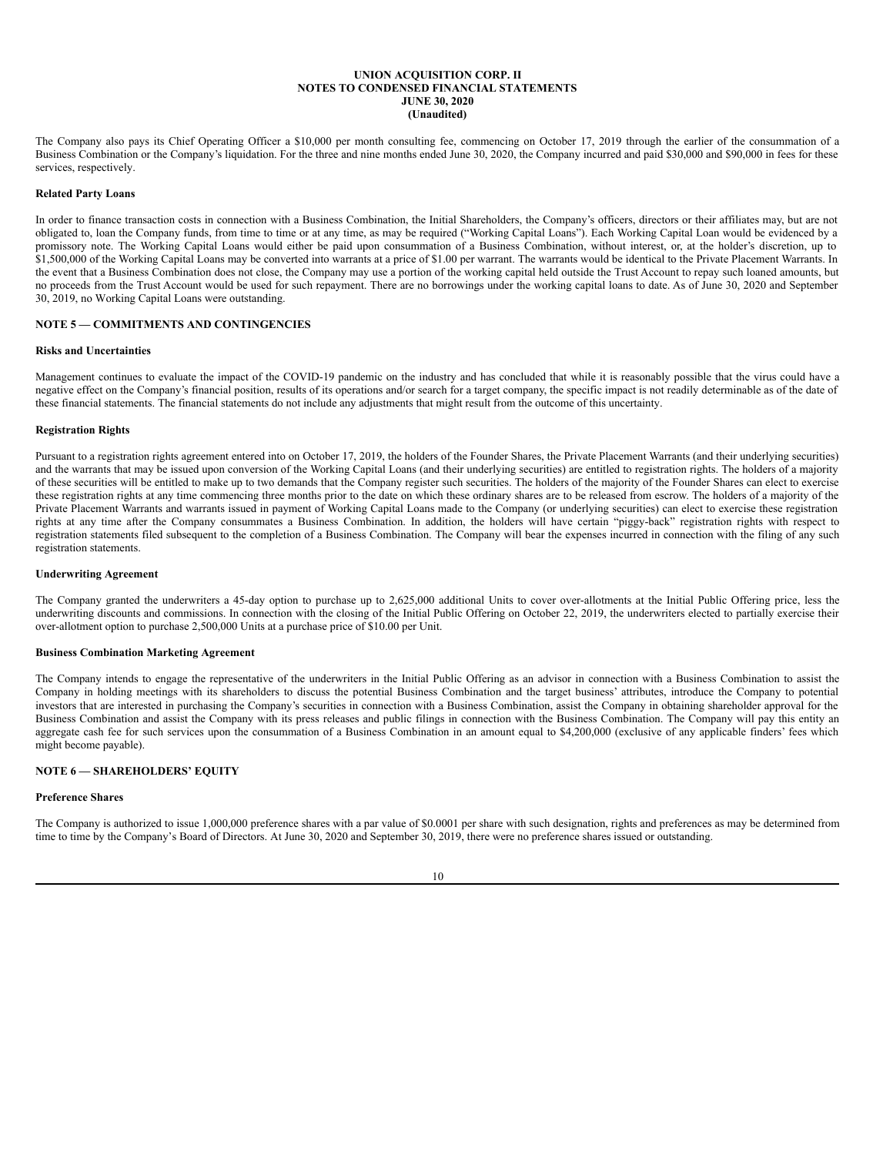The Company also pays its Chief Operating Officer a \$10,000 per month consulting fee, commencing on October 17, 2019 through the earlier of the consummation of a Business Combination or the Company's liquidation. For the three and nine months ended June 30, 2020, the Company incurred and paid \$30,000 and \$90,000 in fees for these services, respectively.

# **Related Party Loans**

In order to finance transaction costs in connection with a Business Combination, the Initial Shareholders, the Company's officers, directors or their affiliates may, but are not obligated to, loan the Company funds, from time to time or at any time, as may be required ("Working Capital Loans"). Each Working Capital Loan would be evidenced by a promissory note. The Working Capital Loans would either be paid upon consummation of a Business Combination, without interest, or, at the holder's discretion, up to \$1,500,000 of the Working Capital Loans may be converted into warrants at a price of \$1.00 per warrant. The warrants would be identical to the Private Placement Warrants. In the event that a Business Combination does not close, the Company may use a portion of the working capital held outside the Trust Account to repay such loaned amounts, but no proceeds from the Trust Account would be used for such repayment. There are no borrowings under the working capital loans to date. As of June 30, 2020 and September 30, 2019, no Working Capital Loans were outstanding.

# **NOTE 5 — COMMITMENTS AND CONTINGENCIES**

# **Risks and Uncertainties**

Management continues to evaluate the impact of the COVID-19 pandemic on the industry and has concluded that while it is reasonably possible that the virus could have a negative effect on the Company's financial position, results of its operations and/or search for a target company, the specific impact is not readily determinable as of the date of these financial statements. The financial statements do not include any adjustments that might result from the outcome of this uncertainty.

#### **Registration Rights**

Pursuant to a registration rights agreement entered into on October 17, 2019, the holders of the Founder Shares, the Private Placement Warrants (and their underlying securities) and the warrants that may be issued upon conversion of the Working Capital Loans (and their underlying securities) are entitled to registration rights. The holders of a majority of these securities will be entitled to make up to two demands that the Company register such securities. The holders of the majority of the Founder Shares can elect to exercise these registration rights at any time commencing three months prior to the date on which these ordinary shares are to be released from escrow. The holders of a majority of the Private Placement Warrants and warrants issued in payment of Working Capital Loans made to the Company (or underlying securities) can elect to exercise these registration rights at any time after the Company consummates a Business Combination. In addition, the holders will have certain "piggy-back" registration rights with respect to registration statements filed subsequent to the completion of a Business Combination. The Company will bear the expenses incurred in connection with the filing of any such registration statements.

#### **Underwriting Agreement**

The Company granted the underwriters a 45-day option to purchase up to 2,625,000 additional Units to cover over-allotments at the Initial Public Offering price, less the underwriting discounts and commissions. In connection with the closing of the Initial Public Offering on October 22, 2019, the underwriters elected to partially exercise their over-allotment option to purchase 2,500,000 Units at a purchase price of \$10.00 per Unit.

### **Business Combination Marketing Agreement**

The Company intends to engage the representative of the underwriters in the Initial Public Offering as an advisor in connection with a Business Combination to assist the Company in holding meetings with its shareholders to discuss the potential Business Combination and the target business' attributes, introduce the Company to potential investors that are interested in purchasing the Company's securities in connection with a Business Combination, assist the Company in obtaining shareholder approval for the Business Combination and assist the Company with its press releases and public filings in connection with the Business Combination. The Company will pay this entity an aggregate cash fee for such services upon the consummation of a Business Combination in an amount equal to \$4,200,000 (exclusive of any applicable finders' fees which might become payable).

# **NOTE 6 — SHAREHOLDERS' EQUITY**

#### **Preference Shares**

The Company is authorized to issue 1,000,000 preference shares with a par value of \$0.0001 per share with such designation, rights and preferences as may be determined from time to time by the Company's Board of Directors. At June 30, 2020 and September 30, 2019, there were no preference shares issued or outstanding.

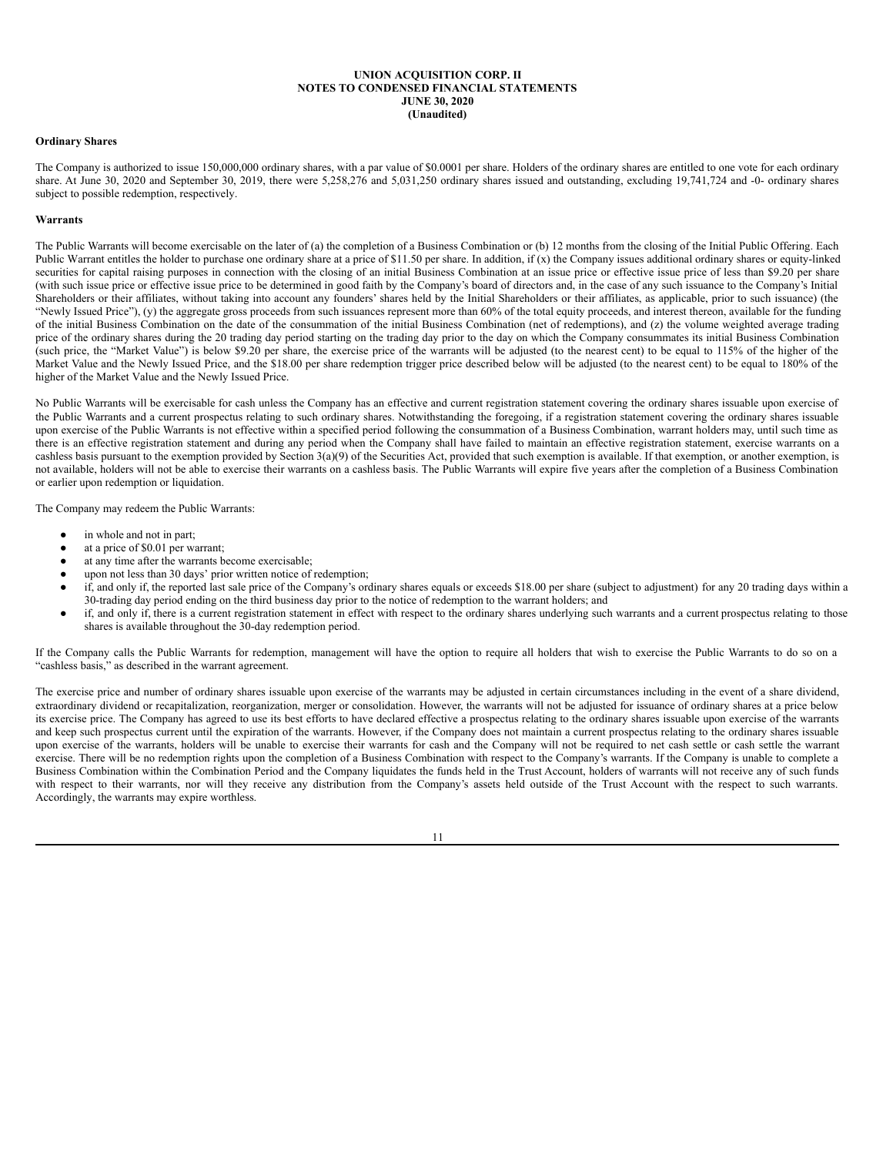#### **Ordinary Shares**

The Company is authorized to issue 150,000,000 ordinary shares, with a par value of \$0,0001 per share. Holders of the ordinary shares are entitled to one vote for each ordinary share. At June 30, 2020 and September 30, 2019, there were 5,258,276 and 5,031,250 ordinary shares issued and outstanding, excluding 19,741,724 and -0- ordinary shares subject to possible redemption, respectively.

#### **Warrants**

The Public Warrants will become exercisable on the later of (a) the completion of a Business Combination or (b) 12 months from the closing of the Initial Public Offering. Each Public Warrant entitles the holder to purchase one ordinary share at a price of \$11.50 per share. In addition, if  $(x)$  the Company issues additional ordinary shares or equity-linked securities for capital raising purposes in connection with the closing of an initial Business Combination at an issue price or effective issue price of less than \$9.20 per share (with such issue price or effective issue price to be determined in good faith by the Company's board of directors and, in the case of any such issuance to the Company's Initial Shareholders or their affiliates, without taking into account any founders' shares held by the Initial Shareholders or their affiliates, as applicable, prior to such issuance) (the "Newly Issued Price"), (y) the aggregate gross proceeds from such issuances represent more than 60% of the total equity proceeds, and interest thereon, available for the funding of the initial Business Combination on the date of the consummation of the initial Business Combination (net of redemptions), and (z) the volume weighted average trading price of the ordinary shares during the 20 trading day period starting on the trading day prior to the day on which the Company consummates its initial Business Combination (such price, the "Market Value") is below \$9.20 per share, the exercise price of the warrants will be adjusted (to the nearest cent) to be equal to 115% of the higher of the Market Value and the Newly Issued Price, and the \$18.00 per share redemption trigger price described below will be adjusted (to the nearest cent) to be equal to 180% of the higher of the Market Value and the Newly Issued Price.

No Public Warrants will be exercisable for cash unless the Company has an effective and current registration statement covering the ordinary shares issuable upon exercise of the Public Warrants and a current prospectus relating to such ordinary shares. Notwithstanding the foregoing, if a registration statement covering the ordinary shares issuable upon exercise of the Public Warrants is not effective within a specified period following the consummation of a Business Combination, warrant holders may, until such time as there is an effective registration statement and during any period when the Company shall have failed to maintain an effective registration statement, exercise warrants on a cashless basis pursuant to the exemption provided by Section  $3(a)(9)$  of the Securities Act, provided that such exemption is available. If that exemption, or another exemption, is not available, holders will not be able to exercise their warrants on a cashless basis. The Public Warrants will expire five years after the completion of a Business Combination or earlier upon redemption or liquidation.

The Company may redeem the Public Warrants:

- in whole and not in part;
- at a price of \$0.01 per warrant;
- at any time after the warrants become exercisable;
- upon not less than 30 days' prior written notice of redemption;
- if, and only if, the reported last sale price of the Company's ordinary shares equals or exceeds \$18.00 per share (subject to adjustment) for any 20 trading days within a 30-trading day period ending on the third business day prior to the notice of redemption to the warrant holders; and
- if, and only if, there is a current registration statement in effect with respect to the ordinary shares underlying such warrants and a current prospectus relating to those shares is available throughout the 30-day redemption period.

If the Company calls the Public Warrants for redemption, management will have the option to require all holders that wish to exercise the Public Warrants to do so on a "cashless basis," as described in the warrant agreement.

The exercise price and number of ordinary shares issuable upon exercise of the warrants may be adjusted in certain circumstances including in the event of a share dividend, extraordinary dividend or recapitalization, reorganization, merger or consolidation. However, the warrants will not be adjusted for issuance of ordinary shares at a price below its exercise price. The Company has agreed to use its best efforts to have declared effective a prospectus relating to the ordinary shares issuable upon exercise of the warrants and keep such prospectus current until the expiration of the warrants. However, if the Company does not maintain a current prospectus relating to the ordinary shares issuable upon exercise of the warrants, holders will be unable to exercise their warrants for cash and the Company will not be required to net cash settle or cash settle the warrant exercise. There will be no redemption rights upon the completion of a Business Combination with respect to the Company's warrants. If the Company is unable to complete a Business Combination within the Combination Period and the Company liquidates the funds held in the Trust Account, holders of warrants will not receive any of such funds with respect to their warrants, nor will they receive any distribution from the Company's assets held outside of the Trust Account with the respect to such warrants. Accordingly, the warrants may expire worthless.

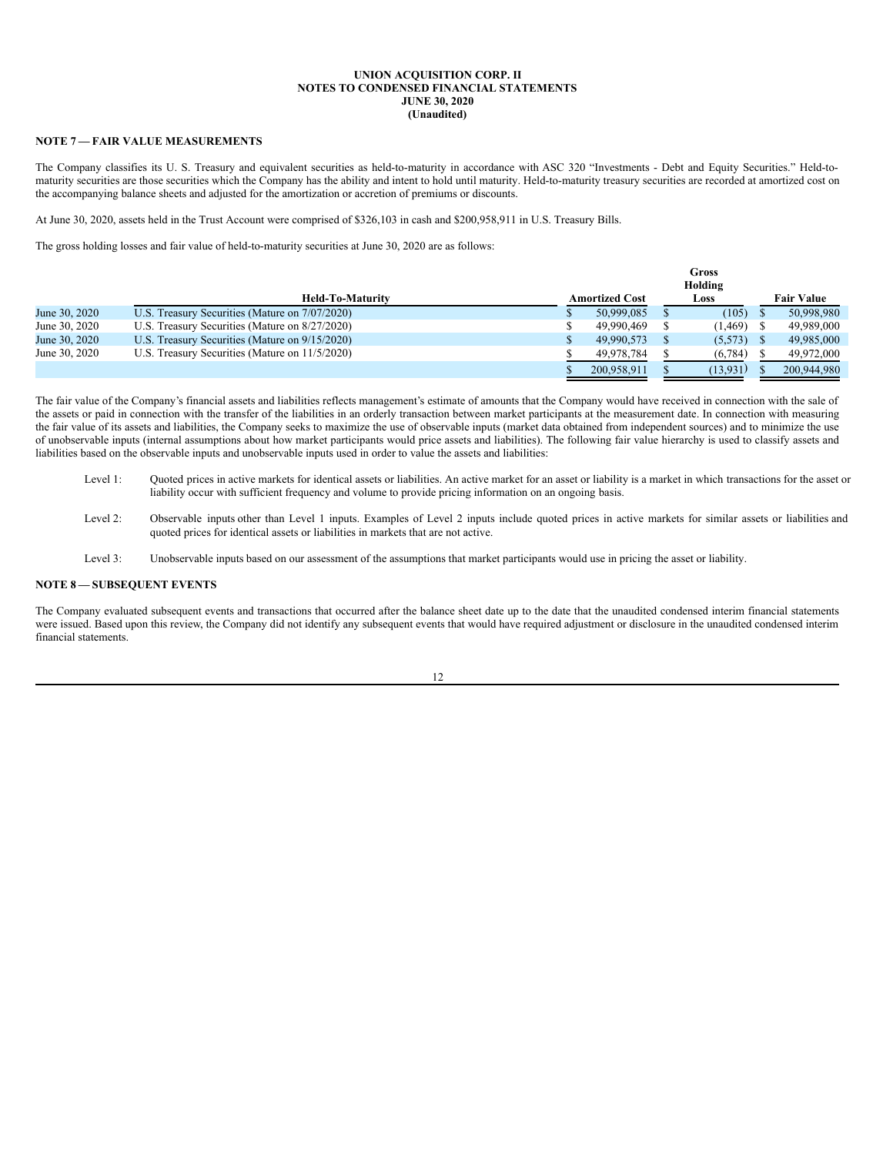# **NOTE 7 — FAIR VALUE MEASUREMENTS**

The Company classifies its U. S. Treasury and equivalent securities as held-to-maturity in accordance with ASC 320 "Investments - Debt and Equity Securities." Held-tomaturity securities are those securities which the Company has the ability and intent to hold until maturity. Held-to-maturity treasury securities are recorded at amortized cost on the accompanying balance sheets and adjusted for the amortization or accretion of premiums or discounts.

At June 30, 2020, assets held in the Trust Account were comprised of \$326,103 in cash and \$200,958,911 in U.S. Treasury Bills.

The gross holding losses and fair value of held-to-maturity securities at June 30, 2020 are as follows:

|               |                                                |                | Gross<br>Holding |                   |
|---------------|------------------------------------------------|----------------|------------------|-------------------|
|               | <b>Held-To-Maturity</b>                        | Amortized Cost | Loss             | <b>Fair Value</b> |
| June 30, 2020 | U.S. Treasury Securities (Mature on 7/07/2020) | 50.999.085     | (105)            | 50,998,980        |
| June 30, 2020 | U.S. Treasury Securities (Mature on 8/27/2020) | 49.990.469     | (1.469)          | 49,989,000        |
| June 30, 2020 | U.S. Treasury Securities (Mature on 9/15/2020) | 49.990.573     | (5,573)          | 49,985,000        |
| June 30, 2020 | U.S. Treasury Securities (Mature on 11/5/2020) | 49.978.784     | (6,784)          | 49,972,000        |
|               |                                                | 200.958.911    | (13.931)         | 200,944,980       |

The fair value of the Company's financial assets and liabilities reflects management's estimate of amounts that the Company would have received in connection with the sale of the assets or paid in connection with the transfer of the liabilities in an orderly transaction between market participants at the measurement date. In connection with measuring the fair value of its assets and liabilities, the Company seeks to maximize the use of observable inputs (market data obtained from independent sources) and to minimize the use of unobservable inputs (internal assumptions about how market participants would price assets and liabilities). The following fair value hierarchy is used to classify assets and liabilities based on the observable inputs and unobservable inputs used in order to value the assets and liabilities:

- Level 1: Quoted prices in active markets for identical assets or liabilities. An active market for an asset or liability is a market in which transactions for the asset or liability occur with sufficient frequency and volume to provide pricing information on an ongoing basis.
- Level 2: Observable inputs other than Level 1 inputs. Examples of Level 2 inputs include quoted prices in active markets for similar assets or liabilities and quoted prices for identical assets or liabilities in markets that are not active.
- Level 3: Unobservable inputs based on our assessment of the assumptions that market participants would use in pricing the asset or liability.

## **NOTE 8 — SUBSEQUENT EVENTS**

The Company evaluated subsequent events and transactions that occurred after the balance sheet date up to the date that the unaudited condensed interim financial statements were issued. Based upon this review, the Company did not identify any subsequent events that would have required adjustment or disclosure in the unaudited condensed interim financial statements.

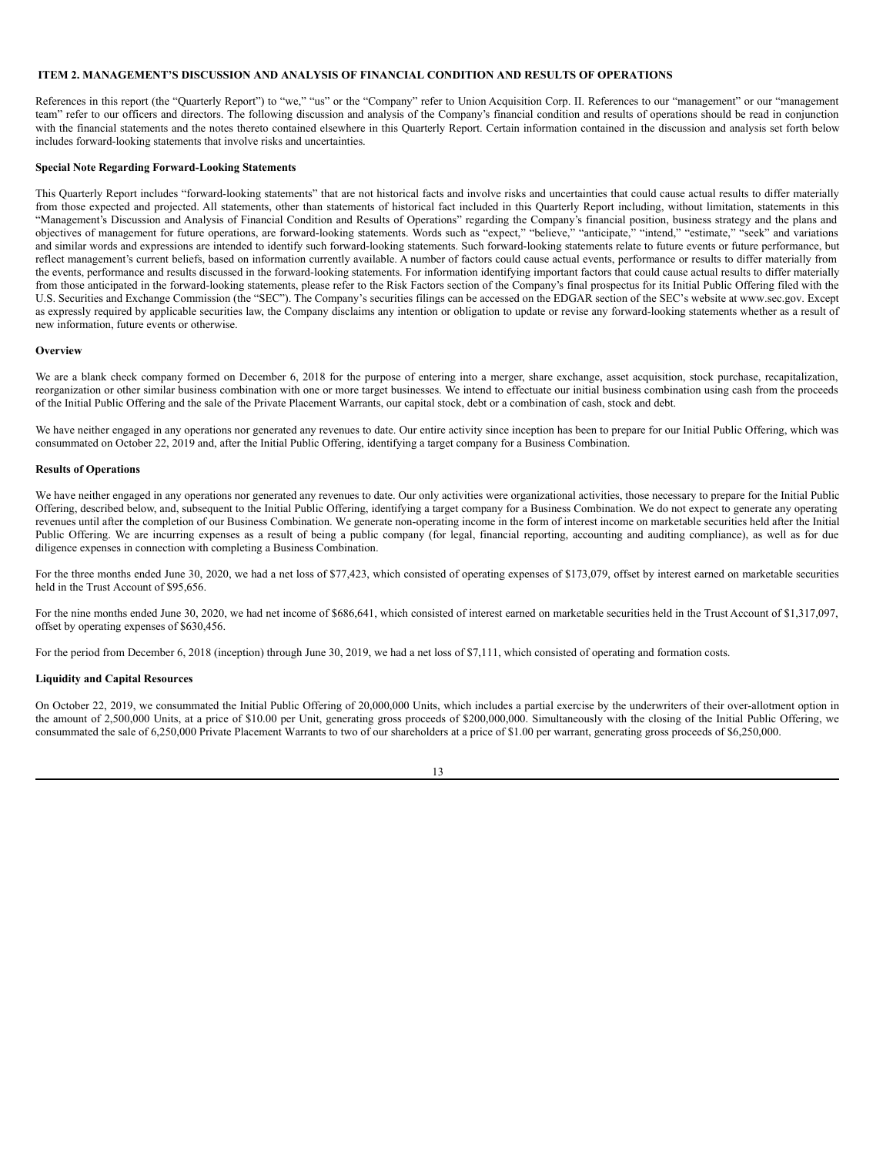## <span id="page-14-0"></span>**ITEM 2. MANAGEMENT'S DISCUSSION AND ANALYSIS OF FINANCIAL CONDITION AND RESULTS OF OPERATIONS**

References in this report (the "Quarterly Report") to "we," "us" or the "Company" refer to Union Acquisition Corp. II. References to our "management" or our "management team" refer to our officers and directors. The following discussion and analysis of the Company's financial condition and results of operations should be read in conjunction with the financial statements and the notes thereto contained elsewhere in this Quarterly Report. Certain information contained in the discussion and analysis set forth below includes forward-looking statements that involve risks and uncertainties.

# **Special Note Regarding Forward-Looking Statements**

This Quarterly Report includes "forward-looking statements" that are not historical facts and involve risks and uncertainties that could cause actual results to differ materially from those expected and projected. All statements, other than statements of historical fact included in this Quarterly Report including, without limitation, statements in this "Management's Discussion and Analysis of Financial Condition and Results of Operations" regarding the Company's financial position, business strategy and the plans and objectives of management for future operations, are forward-looking statements. Words such as "expect," "believe," "anticipate," "intend," "estimate," "seek" and variations and similar words and expressions are intended to identify such forward-looking statements. Such forward-looking statements relate to future events or future performance, but reflect management's current beliefs, based on information currently available. A number of factors could cause actual events, performance or results to differ materially from the events, performance and results discussed in the forward-looking statements. For information identifying important factors that could cause actual results to differ materially from those anticipated in the forward-looking statements, please refer to the Risk Factors section of the Company's final prospectus for its Initial Public Offering filed with the U.S. Securities and Exchange Commission (the "SEC"). The Company's securities filings can be accessed on the EDGAR section of the SEC's website at www.sec.gov. Except as expressly required by applicable securities law, the Company disclaims any intention or obligation to update or revise any forward-looking statements whether as a result of new information, future events or otherwise.

### **Overview**

We are a blank check company formed on December 6, 2018 for the purpose of entering into a merger, share exchange, asset acquisition, stock purchase, recapitalization, reorganization or other similar business combination with one or more target businesses. We intend to effectuate our initial business combination using cash from the proceeds of the Initial Public Offering and the sale of the Private Placement Warrants, our capital stock, debt or a combination of cash, stock and debt.

We have neither engaged in any operations nor generated any revenues to date. Our entire activity since inception has been to prepare for our Initial Public Offering, which was consummated on October 22, 2019 and, after the Initial Public Offering, identifying a target company for a Business Combination.

### **Results of Operations**

We have neither engaged in any operations nor generated any revenues to date. Our only activities were organizational activities, those necessary to prepare for the Initial Public Offering, described below, and, subsequent to the Initial Public Offering, identifying a target company for a Business Combination. We do not expect to generate any operating revenues until after the completion of our Business Combination. We generate non-operating income in the form of interest income on marketable securities held after the Initial Public Offering. We are incurring expenses as a result of being a public company (for legal, financial reporting, accounting and auditing compliance), as well as for due diligence expenses in connection with completing a Business Combination.

For the three months ended June 30, 2020, we had a net loss of \$77,423, which consisted of operating expenses of \$173,079, offset by interest earned on marketable securities held in the Trust Account of \$95,656.

For the nine months ended June 30, 2020, we had net income of \$686,641, which consisted of interest earned on marketable securities held in the Trust Account of \$1,317,097. offset by operating expenses of \$630,456.

For the period from December 6, 2018 (inception) through June 30, 2019, we had a net loss of \$7,111, which consisted of operating and formation costs.

# **Liquidity and Capital Resources**

On October 22, 2019, we consummated the Initial Public Offering of 20,000,000 Units, which includes a partial exercise by the underwriters of their over-allotment option in the amount of 2,500,000 Units, at a price of \$10.00 per Unit, generating gross proceeds of \$200,000,000. Simultaneously with the closing of the Initial Public Offering, we consummated the sale of 6,250,000 Private Placement Warrants to two of our shareholders at a price of \$1.00 per warrant, generating gross proceeds of \$6,250,000.

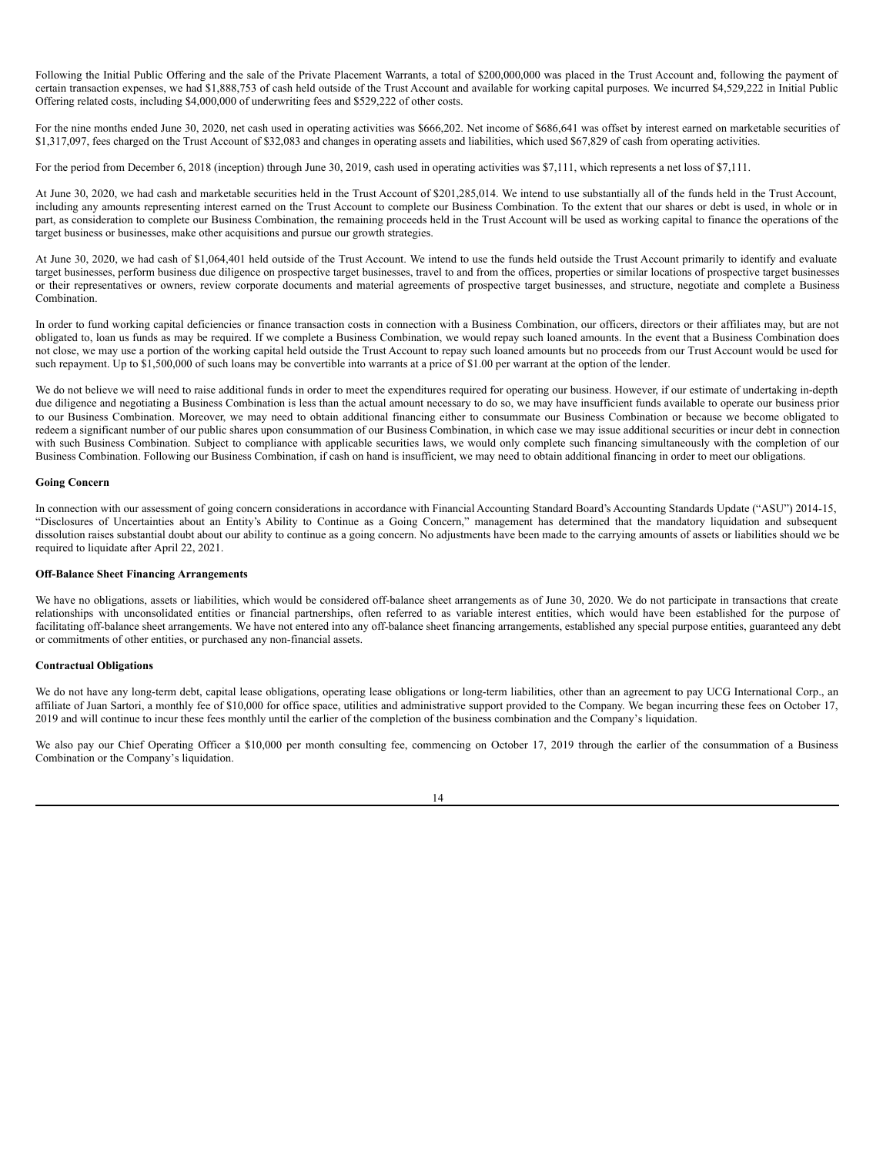Following the Initial Public Offering and the sale of the Private Placement Warrants, a total of \$200,000,000 was placed in the Trust Account and, following the payment of certain transaction expenses, we had \$1,888,753 of cash held outside of the Trust Account and available for working capital purposes. We incurred \$4,529,222 in Initial Public Offering related costs, including \$4,000,000 of underwriting fees and \$529,222 of other costs.

For the nine months ended June 30, 2020, net cash used in operating activities was \$666,202. Net income of \$686,641 was offset by interest earned on marketable securities of \$1,317,097, fees charged on the Trust Account of \$32,083 and changes in operating assets and liabilities, which used \$67,829 of cash from operating activities.

For the period from December 6, 2018 (inception) through June 30, 2019, cash used in operating activities was \$7,111, which represents a net loss of \$7,111.

At June 30, 2020, we had cash and marketable securities held in the Trust Account of \$201,285,014. We intend to use substantially all of the funds held in the Trust Account, including any amounts representing interest earned on the Trust Account to complete our Business Combination. To the extent that our shares or debt is used, in whole or in part, as consideration to complete our Business Combination, the remaining proceeds held in the Trust Account will be used as working capital to finance the operations of the target business or businesses, make other acquisitions and pursue our growth strategies.

At June 30, 2020, we had cash of \$1,064,401 held outside of the Trust Account. We intend to use the funds held outside the Trust Account primarily to identify and evaluate target businesses, perform business due diligence on prospective target businesses, travel to and from the offices, properties or similar locations of prospective target businesses or their representatives or owners, review corporate documents and material agreements of prospective target businesses, and structure, negotiate and complete a Business Combination.

In order to fund working capital deficiencies or finance transaction costs in connection with a Business Combination, our officers, directors or their affiliates may, but are not obligated to, loan us funds as may be required. If we complete a Business Combination, we would repay such loaned amounts. In the event that a Business Combination does not close, we may use a portion of the working capital held outside the Trust Account to repay such loaned amounts but no proceeds from our Trust Account would be used for such repayment. Up to \$1,500,000 of such loans may be convertible into warrants at a price of \$1.00 per warrant at the option of the lender.

We do not believe we will need to raise additional funds in order to meet the expenditures required for operating our business. However, if our estimate of undertaking in-depth due diligence and negotiating a Business Combination is less than the actual amount necessary to do so, we may have insufficient funds available to operate our business prior to our Business Combination. Moreover, we may need to obtain additional financing either to consummate our Business Combination or because we become obligated to redeem a significant number of our public shares upon consummation of our Business Combination, in which case we may issue additional securities or incur debt in connection with such Business Combination. Subject to compliance with applicable securities laws, we would only complete such financing simultaneously with the completion of our Business Combination. Following our Business Combination, if cash on hand is insufficient, we may need to obtain additional financing in order to meet our obligations.

# **Going Concern**

In connection with our assessment of going concern considerations in accordance with Financial Accounting Standard Board's Accounting Standards Update ("ASU") 2014-15, "Disclosures of Uncertainties about an Entity's Ability to Continue as a Going Concern," management has determined that the mandatory liquidation and subsequent dissolution raises substantial doubt about our ability to continue as a going concern. No adjustments have been made to the carrying amounts of assets or liabilities should we be required to liquidate after April 22, 2021.

## **Off-Balance Sheet Financing Arrangements**

We have no obligations, assets or liabilities, which would be considered off-balance sheet arrangements as of June 30, 2020. We do not participate in transactions that create relationships with unconsolidated entities or financial partnerships, often referred to as variable interest entities, which would have been established for the purpose of facilitating off-balance sheet arrangements. We have not entered into any off-balance sheet financing arrangements, established any special purpose entities, guaranteed any debt or commitments of other entities, or purchased any non-financial assets.

# **Contractual Obligations**

We do not have any long-term debt, capital lease obligations, operating lease obligations or long-term liabilities, other than an agreement to pay UCG International Corp., an affiliate of Juan Sartori, a monthly fee of \$10,000 for office space, utilities and administrative support provided to the Company. We began incurring these fees on October 17, 2019 and will continue to incur these fees monthly until the earlier of the completion of the business combination and the Company's liquidation.

We also pay our Chief Operating Officer a \$10,000 per month consulting fee, commencing on October 17, 2019 through the earlier of the consummation of a Business Combination or the Company's liquidation.

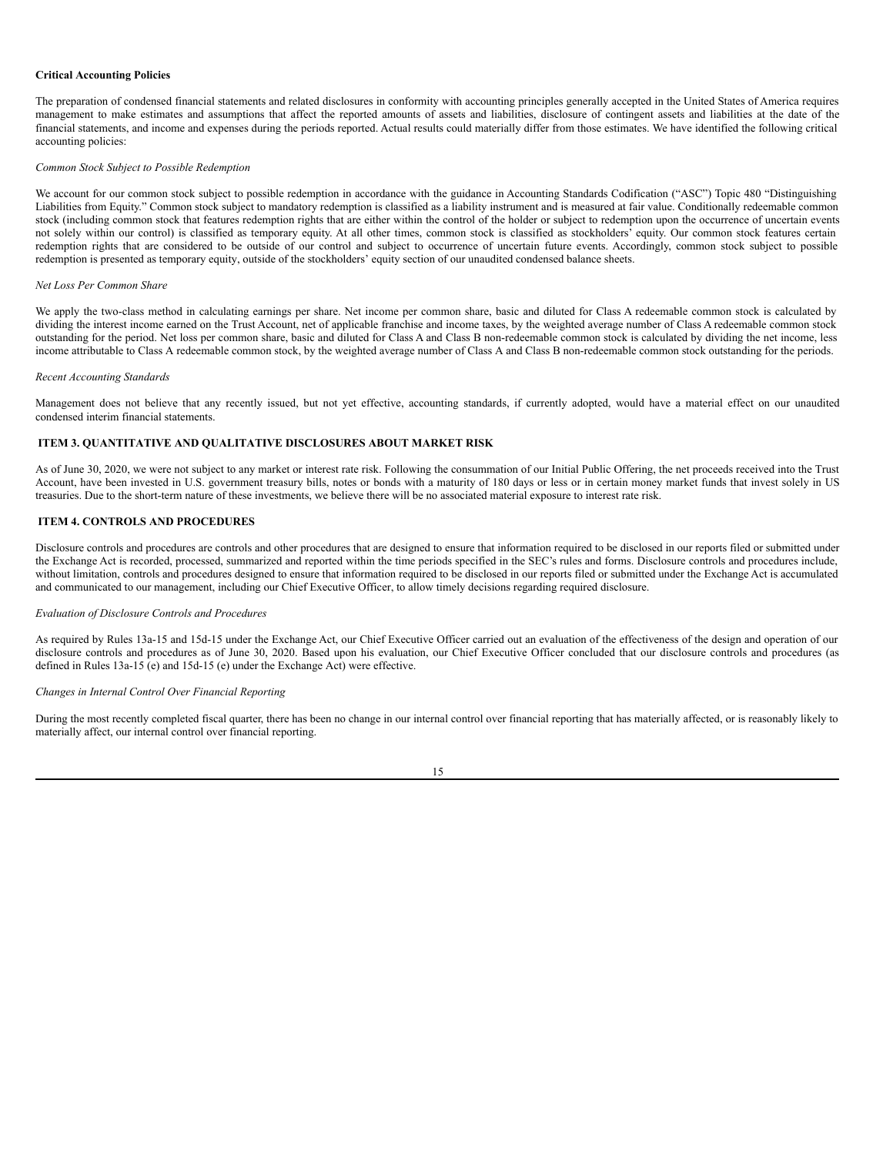## **Critical Accounting Policies**

The preparation of condensed financial statements and related disclosures in conformity with accounting principles generally accepted in the United States of America requires management to make estimates and assumptions that affect the reported amounts of assets and liabilities, disclosure of contingent assets and liabilities at the date of the financial statements, and income and expenses during the periods reported. Actual results could materially differ from those estimates. We have identified the following critical accounting policies:

### *Common Stock Subject to Possible Redemption*

We account for our common stock subject to possible redemption in accordance with the guidance in Accounting Standards Codification ("ASC") Topic 480 "Distinguishing Liabilities from Equity." Common stock subject to mandatory redemption is classified as a liability instrument and is measured at fair value. Conditionally redeemable common stock (including common stock that features redemption rights that are either within the control of the holder or subject to redemption upon the occurrence of uncertain events not solely within our control) is classified as temporary equity. At all other times, common stock is classified as stockholders<sup>5</sup> equity. Our common stock features certain redemption rights that are considered to be outside of our control and subject to occurrence of uncertain future events. Accordingly, common stock subject to possible redemption is presented as temporary equity, outside of the stockholders' equity section of our unaudited condensed balance sheets.

#### *Net Loss Per Common Share*

We apply the two-class method in calculating earnings per share. Net income per common share, basic and diluted for Class A redeemable common stock is calculated by dividing the interest income earned on the Trust Account, net of applicable franchise and income taxes, by the weighted average number of Class A redeemable common stock outstanding for the period. Net loss per common share, basic and diluted for Class A and Class B non-redeemable common stock is calculated by dividing the net income, less income attributable to Class A redeemable common stock, by the weighted average number of Class A and Class B non-redeemable common stock outstanding for the periods.

#### *Recent Accounting Standards*

Management does not believe that any recently issued, but not yet effective, accounting standards, if currently adopted, would have a material effect on our unaudited condensed interim financial statements.

# <span id="page-16-0"></span>**ITEM 3. QUANTITATIVE AND QUALITATIVE DISCLOSURES ABOUT MARKET RISK**

As of June 30, 2020, we were not subject to any market or interest rate risk. Following the consummation of our Initial Public Offering, the net proceeds received into the Trust Account, have been invested in U.S. government treasury bills, notes or bonds with a maturity of 180 days or less or in certain money market funds that invest solely in US treasuries. Due to the short-term nature of these investments, we believe there will be no associated material exposure to interest rate risk.

# <span id="page-16-1"></span>**ITEM 4. CONTROLS AND PROCEDURES**

Disclosure controls and procedures are controls and other procedures that are designed to ensure that information required to be disclosed in our reports filed or submitted under the Exchange Act is recorded, processed, summarized and reported within the time periods specified in the SEC's rules and forms. Disclosure controls and procedures include, without limitation, controls and procedures designed to ensure that information required to be disclosed in our reports filed or submitted under the Exchange Act is accumulated and communicated to our management, including our Chief Executive Officer, to allow timely decisions regarding required disclosure.

#### *Evaluation of Disclosure Controls and Procedures*

As required by Rules 13a-15 and 15d-15 under the Exchange Act, our Chief Executive Officer carried out an evaluation of the effectiveness of the design and operation of our disclosure controls and procedures as of June 30, 2020. Based upon his evaluation, our Chief Executive Officer concluded that our disclosure controls and procedures (as defined in Rules 13a-15 (e) and 15d-15 (e) under the Exchange Act) were effective.

# *Changes in Internal Control Over Financial Reporting*

During the most recently completed fiscal quarter, there has been no change in our internal control over financial reporting that has materially affected, or is reasonably likely to materially affect, our internal control over financial reporting.

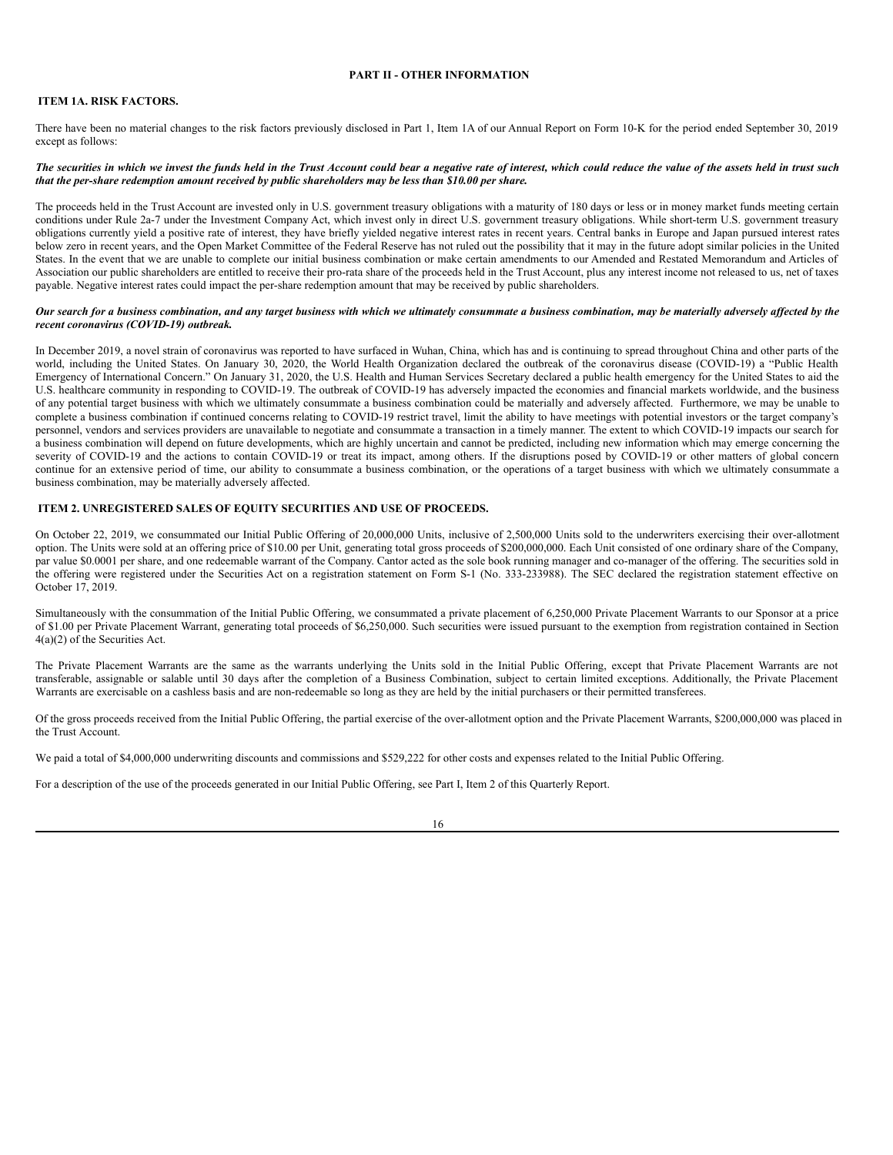# <span id="page-17-0"></span>**PART II - OTHER INFORMATION**

# <span id="page-17-1"></span>**ITEM 1A. RISK FACTORS.**

There have been no material changes to the risk factors previously disclosed in Part 1, Item 1A of our Annual Report on Form 10-K for the period ended September 30, 2019 except as follows:

# The securities in which we invest the funds held in the Trust Account could bear a negative rate of interest, which could reduce the value of the assets held in trust such *that the per-share redemption amount received by public shareholders may be less than \$10.00 per share.*

The proceeds held in the Trust Account are invested only in U.S. government treasury obligations with a maturity of 180 days or less or in money market funds meeting certain conditions under Rule 2a-7 under the Investment Company Act, which invest only in direct U.S. government treasury obligations. While short-term U.S. government treasury obligations currently yield a positive rate of interest, they have briefly yielded negative interest rates in recent years. Central banks in Europe and Japan pursued interest rates below zero in recent years, and the Open Market Committee of the Federal Reserve has not ruled out the possibility that it may in the future adopt similar policies in the United States. In the event that we are unable to complete our initial business combination or make certain amendments to our Amended and Restated Memorandum and Articles of Association our public shareholders are entitled to receive their pro-rata share of the proceeds held in the Trust Account, plus any interest income not released to us, net of taxes payable. Negative interest rates could impact the per-share redemption amount that may be received by public shareholders.

## Our search for a business combination, and any target business with which we ultimately consummate a business combination, may be materially adversely affected by the *recent coronavirus (COVID-19) outbreak.*

In December 2019, a novel strain of coronavirus was reported to have surfaced in Wuhan, China, which has and is continuing to spread throughout China and other parts of the world, including the United States. On January 30, 2020, the World Health Organization declared the outbreak of the coronavirus disease (COVID-19) a "Public Health Emergency of International Concern." On January 31, 2020, the U.S. Health and Human Services Secretary declared a public health emergency for the United States to aid the U.S. healthcare community in responding to COVID-19. The outbreak of COVID-19 has adversely impacted the economies and financial markets worldwide, and the business of any potential target business with which we ultimately consummate a business combination could be materially and adversely affected. Furthermore, we may be unable to complete a business combination if continued concerns relating to COVID-19 restrict travel, limit the ability to have meetings with potential investors or the target company's personnel, vendors and services providers are unavailable to negotiate and consummate a transaction in a timely manner. The extent to which COVID-19 impacts our search for a business combination will depend on future developments, which are highly uncertain and cannot be predicted, including new information which may emerge concerning the severity of COVID-19 and the actions to contain COVID-19 or treat its impact, among others. If the disruptions posed by COVID-19 or other matters of global concern continue for an extensive period of time, our ability to consummate a business combination, or the operations of a target business with which we ultimately consummate a business combination, may be materially adversely affected.

# <span id="page-17-2"></span>**ITEM 2. UNREGISTERED SALES OF EQUITY SECURITIES AND USE OF PROCEEDS.**

On October 22, 2019, we consummated our Initial Public Offering of 20,000,000 Units, inclusive of 2,500,000 Units sold to the underwriters exercising their over-allotment option. The Units were sold at an offering price of \$10.00 per Unit, generating total gross proceeds of \$200,000,000. Each Unit consisted of one ordinary share of the Company, par value \$0.0001 per share, and one redeemable warrant of the Company. Cantor acted as the sole book running manager and co-manager of the offering. The securities sold in the offering were registered under the Securities Act on a registration statement on Form S-1 (No. 333-233988). The SEC declared the registration statement effective on October 17, 2019.

Simultaneously with the consummation of the Initial Public Offering, we consummated a private placement of 6,250,000 Private Placement Warrants to our Sponsor at a price of \$1.00 per Private Placement Warrant, generating total proceeds of \$6,250,000. Such securities were issued pursuant to the exemption from registration contained in Section 4(a)(2) of the Securities Act.

The Private Placement Warrants are the same as the warrants underlying the Units sold in the Initial Public Offering, except that Private Placement Warrants are not transferable, assignable or salable until 30 days after the completion of a Business Combination, subject to certain limited exceptions. Additionally, the Private Placement Warrants are exercisable on a cashless basis and are non-redeemable so long as they are held by the initial purchasers or their permitted transferees.

Of the gross proceeds received from the Initial Public Offering, the partial exercise of the over-allotment option and the Private Placement Warrants, \$200,000,000 was placed in the Trust Account.

We paid a total of \$4,000,000 underwriting discounts and commissions and \$529,222 for other costs and expenses related to the Initial Public Offering.

For a description of the use of the proceeds generated in our Initial Public Offering, see Part I, Item 2 of this Quarterly Report.

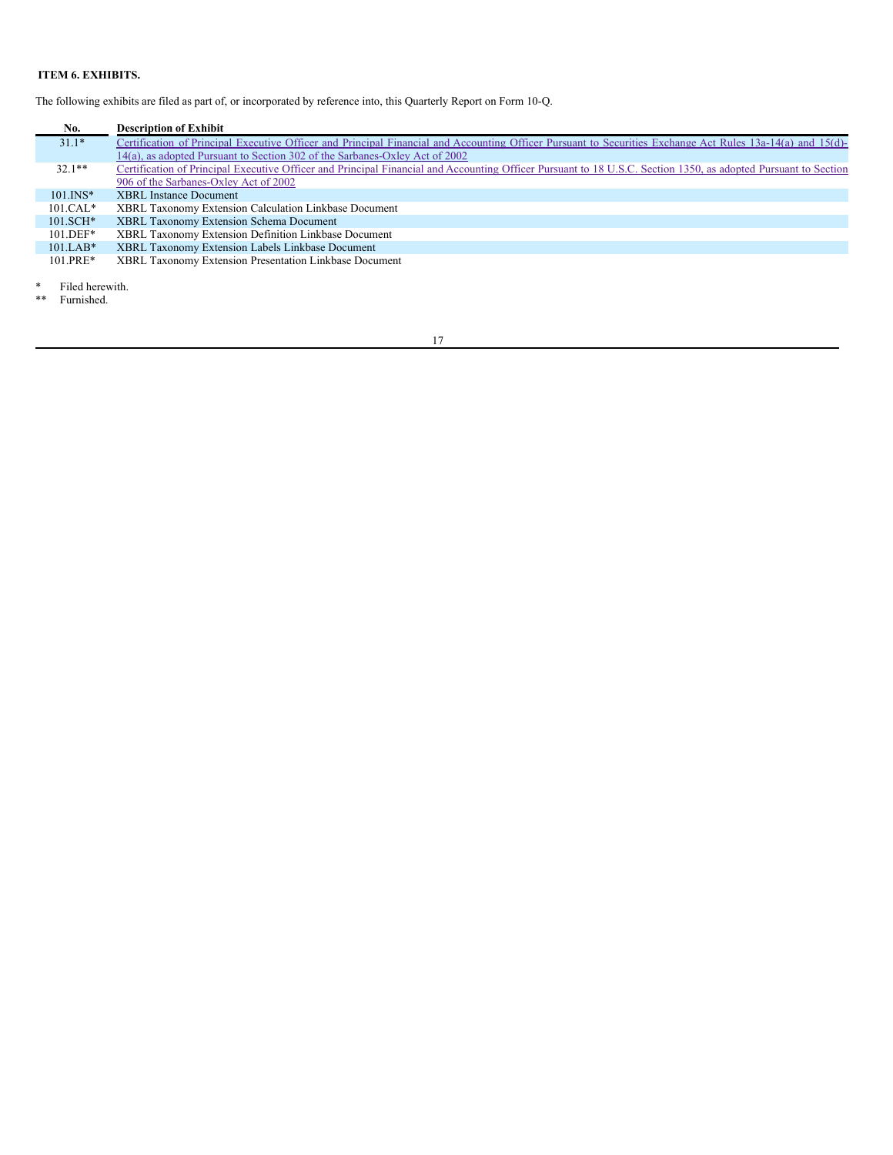# <span id="page-18-0"></span>**ITEM 6. EXHIBITS.**

The following exhibits are filed as part of, or incorporated by reference into, this Quarterly Report on Form 10-Q.

| No.          | <b>Description of Exhibit</b>                                                                                                                                  |
|--------------|----------------------------------------------------------------------------------------------------------------------------------------------------------------|
| $31.1*$      | Certification of Principal Executive Officer and Principal Financial and Accounting Officer Pursuant to Securities Exchange Act Rules 13a-14(a) and 15(d)-     |
|              | 14(a), as adopted Pursuant to Section 302 of the Sarbanes-Oxley Act of 2002                                                                                    |
| $32.1**$     | Certification of Principal Executive Officer and Principal Financial and Accounting Officer Pursuant to 18 U.S.C. Section 1350, as adopted Pursuant to Section |
|              | 906 of the Sarbanes-Oxley Act of 2002                                                                                                                          |
| $101.$ $N^*$ | <b>XBRL</b> Instance Document                                                                                                                                  |
| $101.CAL*$   | XBRL Taxonomy Extension Calculation Linkbase Document                                                                                                          |
| $101.SCH*$   | XBRL Taxonomy Extension Schema Document                                                                                                                        |
| $101.DEF*$   | XBRL Taxonomy Extension Definition Linkbase Document                                                                                                           |
| $101.LAB*$   | XBRL Taxonomy Extension Labels Linkbase Document                                                                                                               |
| 101.PRE*     | XBRL Taxonomy Extension Presentation Linkbase Document                                                                                                         |

\* Filed herewith.<br>\*\* Furnished

Furnished.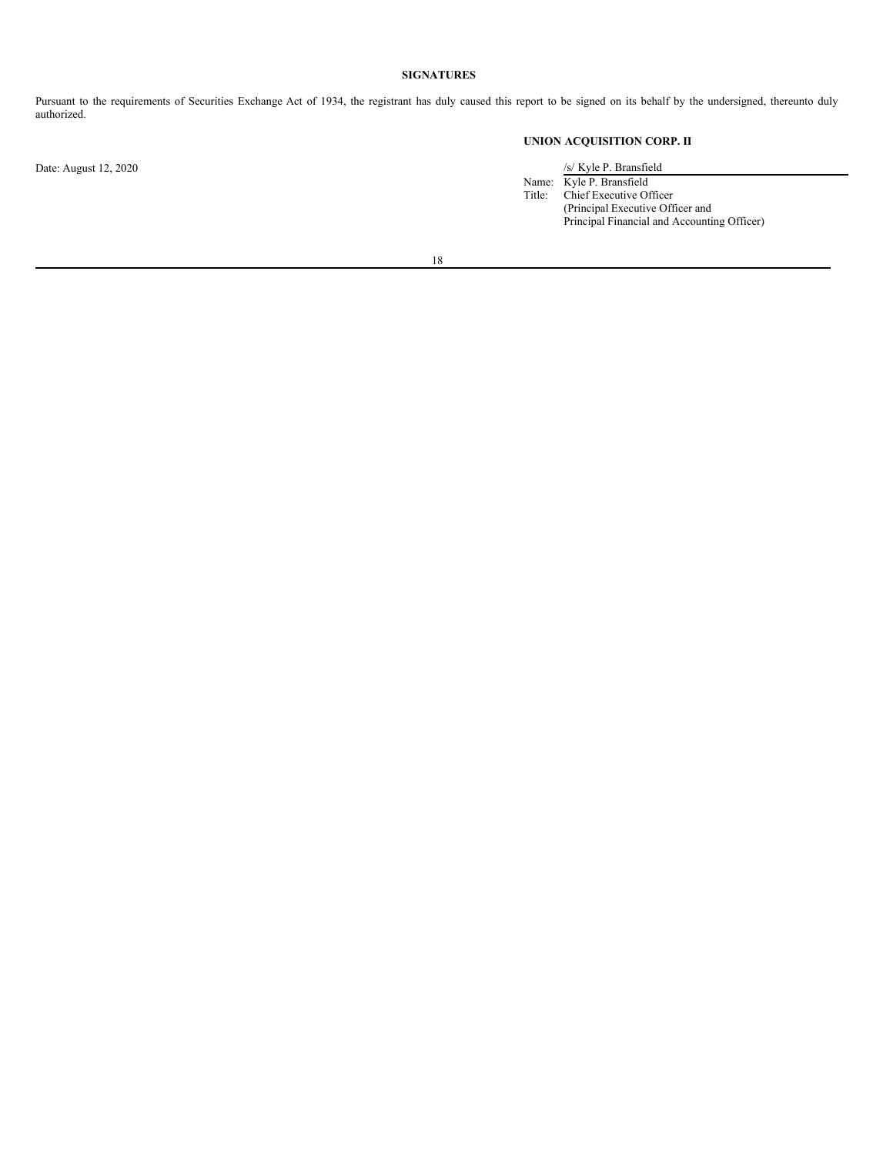# <span id="page-19-0"></span>**SIGNATURES**

Pursuant to the requirements of Securities Exchange Act of 1934, the registrant has duly caused this report to be signed on its behalf by the undersigned, thereunto duly authorized.

Date: August 12, 2020 /s/ Kyle P. Bransfield

# **UNION ACQUISITION CORP. II**

Name: Kyle P. Bransfield Title: Chief Executive Officer (Principal Executive Officer and Principal Financial and Accounting Officer)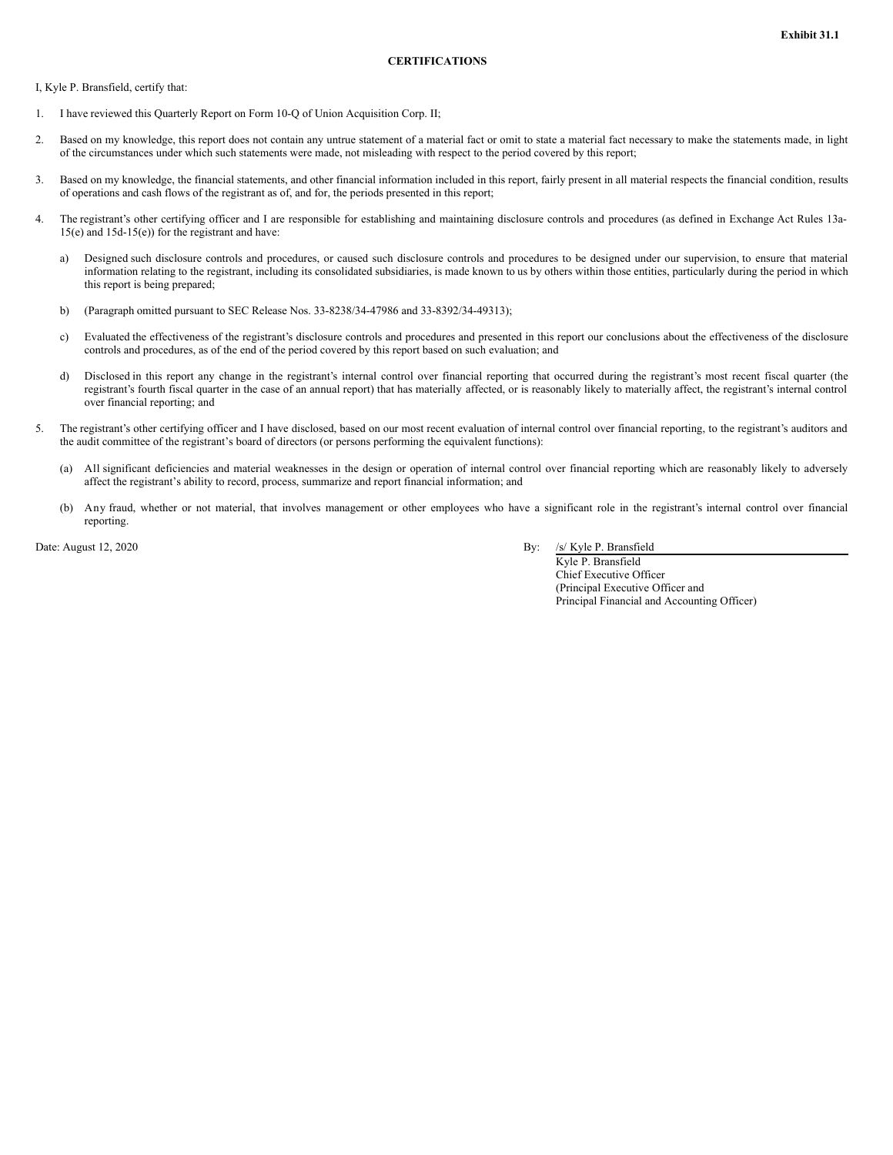<span id="page-20-0"></span>I, Kyle P. Bransfield, certify that:

- 1. I have reviewed this Quarterly Report on Form 10-Q of Union Acquisition Corp. II;
- 2. Based on my knowledge, this report does not contain any untrue statement of a material fact or omit to state a material fact necessary to make the statements made, in light of the circumstances under which such statements were made, not misleading with respect to the period covered by this report;
- 3. Based on my knowledge, the financial statements, and other financial information included in this report, fairly present in all material respects the financial condition, results of operations and cash flows of the registrant as of, and for, the periods presented in this report;
- 4. The registrant's other certifying officer and I are responsible for establishing and maintaining disclosure controls and procedures (as defined in Exchange Act Rules 13a-15(e) and 15d-15(e)) for the registrant and have:
	- a) Designed such disclosure controls and procedures, or caused such disclosure controls and procedures to be designed under our supervision, to ensure that material information relating to the registrant, including its consolidated subsidiaries, is made known to us by others within those entities, particularly during the period in which this report is being prepared;
	- b) (Paragraph omitted pursuant to SEC Release Nos. 33-8238/34-47986 and 33-8392/34-49313);
	- c) Evaluated the effectiveness of the registrant's disclosure controls and procedures and presented in this report our conclusions about the effectiveness of the disclosure controls and procedures, as of the end of the period covered by this report based on such evaluation; and
	- d) Disclosed in this report any change in the registrant's internal control over financial reporting that occurred during the registrant's most recent fiscal quarter (the registrant's fourth fiscal quarter in the case of an annual report) that has materially affected, or is reasonably likely to materially affect, the registrant's internal control over financial reporting; and
- 5. The registrant's other certifying officer and I have disclosed, based on our most recent evaluation of internal control over financial reporting, to the registrant's auditors and the audit committee of the registrant's board of directors (or persons performing the equivalent functions):
	- (a) All significant deficiencies and material weaknesses in the design or operation of internal control over financial reporting which are reasonably likely to adversely affect the registrant's ability to record, process, summarize and report financial information; and
	- (b) Any fraud, whether or not material, that involves management or other employees who have a significant role in the registrant's internal control over financial reporting.

Date: August 12, 2020 By: /s/ Kyle P. Bransfield

Kyle P. Bransfield Chief Executive Officer (Principal Executive Officer and Principal Financial and Accounting Officer)